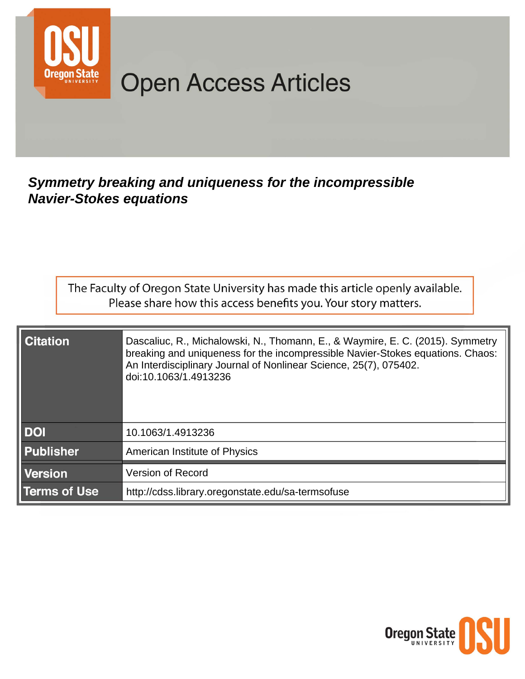

# **Open Access Articles**

## Symmetry breaking and uniqueness for the incompressible **Navier-Stokes equations**

The Faculty of Oregon State University has made this article openly available. Please share how this access benefits you. Your story matters.

| <b>Citation</b>     | Dascaliuc, R., Michalowski, N., Thomann, E., & Waymire, E. C. (2015). Symmetry<br>breaking and uniqueness for the incompressible Navier-Stokes equations. Chaos:<br>An Interdisciplinary Journal of Nonlinear Science, 25(7), 075402.<br>doi:10.1063/1.4913236 |
|---------------------|----------------------------------------------------------------------------------------------------------------------------------------------------------------------------------------------------------------------------------------------------------------|
| <b>DOI</b>          | 10.1063/1.4913236                                                                                                                                                                                                                                              |
| <b>Publisher</b>    | American Institute of Physics                                                                                                                                                                                                                                  |
| <b>Version</b>      | <b>Version of Record</b>                                                                                                                                                                                                                                       |
| <b>Terms of Use</b> | http://cdss.library.oregonstate.edu/sa-termsofuse                                                                                                                                                                                                              |

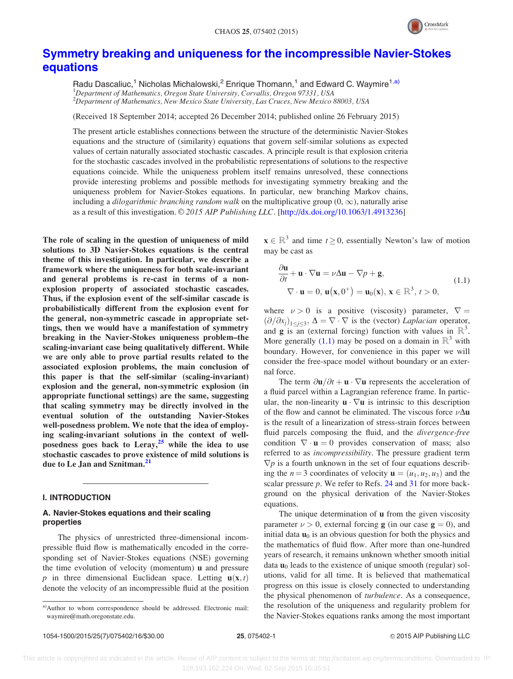

### <span id="page-1-0"></span>[Symmetry breaking and uniqueness for the incompressible Navier-Stokes](http://dx.doi.org/10.1063/1.4913236) [equations](http://dx.doi.org/10.1063/1.4913236)

Radu Dascaliuc,<sup>1</sup> Nicholas Michalowski,<sup>2</sup> Enrique Thomann,<sup>1</sup> and Edward C. Waymire<sup>1,a)</sup> <sup>1</sup>Department of Mathematics, Oregon State University, Corvallis, Oregon 97331, USA 2 Department of Mathematics, New Mexico State University, Las Cruces, New Mexico 88003, USA

(Received 18 September 2014; accepted 26 December 2014; published online 26 February 2015)

The present article establishes connections between the structure of the deterministic Navier-Stokes equations and the structure of (similarity) equations that govern self-similar solutions as expected values of certain naturally associated stochastic cascades. A principle result is that explosion criteria for the stochastic cascades involved in the probabilistic representations of solutions to the respective equations coincide. While the uniqueness problem itself remains unresolved, these connections provide interesting problems and possible methods for investigating symmetry breaking and the uniqueness problem for Navier-Stokes equations. In particular, new branching Markov chains, including a *dilogarithmic branching random walk* on the multiplicative group  $(0, \infty)$ , naturally arise as a result of this investigation.  $\mathcal{Q}$  2015 AIP Publishing LLC. [[http://dx.doi.org/10.1063/1.4913236\]](http://dx.doi.org/10.1063/1.4913236)

The role of scaling in the question of uniqueness of mild solutions to 3D Navier-Stokes equations is the central theme of this investigation. In particular, we describe a framework where the uniqueness for both scale-invariant and general problems is re-cast in terms of a nonexplosion property of associated stochastic cascades. Thus, if the explosion event of the self-similar cascade is probabilistically different from the explosion event for the general, non-symmetric cascade in appropriate settings, then we would have a manifestation of symmetry breaking in the Navier-Stokes uniqueness problem–the scaling-invariant case being qualitatively different. While we are only able to prove partial results related to the associated explosion problems, the main conclusion of this paper is that the self-similar (scaling-invariant) explosion and the general, non-symmetric explosion (in appropriate functional settings) are the same, suggesting that scaling symmetry may be directly involved in the eventual solution of the outstanding Navier-Stokes well-posedness problem. We note that the idea of employing scaling-invariant solutions in the context of wellposedness goes back to Leray, $2^5$  while the idea to use stochastic cascades to prove existence of mild solutions is due to Le Jan and Sznitman.<sup>21</sup>

#### I. INTRODUCTION

#### A. Navier-Stokes equations and their scaling properties

The physics of unrestricted three-dimensional incompressible fluid flow is mathematically encoded in the corresponding set of Navier-Stokes equations (NSE) governing the time evolution of velocity (momentum) u and pressure p in three dimensional Euclidean space. Letting  $\mathbf{u}(\mathbf{x},t)$ denote the velocity of an incompressible fluid at the position

 $\mathbf{x} \in \mathbb{R}^3$  and time  $t \geq 0$ , essentially Newton's law of motion may be cast as

$$
\frac{\partial \mathbf{u}}{\partial t} + \mathbf{u} \cdot \nabla \mathbf{u} = \nu \Delta \mathbf{u} - \nabla p + \mathbf{g},
$$
  

$$
\nabla \cdot \mathbf{u} = 0, \mathbf{u}(\mathbf{x}, 0^+) = \mathbf{u}_0(\mathbf{x}), \mathbf{x} \in \mathbb{R}^3, t > 0,
$$
 (1.1)

where  $\nu > 0$  is a positive (viscosity) parameter,  $\nabla =$  $(\partial/\partial x_j)_{1 \leq i \leq 3}$ ,  $\Delta = \nabla \cdot \nabla$  is the (vector) Laplacian operator, and **g** is an (external forcing) function with values in  $\mathbb{R}^3$ . More generally (1.1) may be posed on a domain in  $\mathbb{R}^3$  with boundary. However, for convenience in this paper we will consider the free-space model without boundary or an external force.

The term  $\partial$ **u** $/\partial t$  + **u** ·  $\nabla$ **u** represents the acceleration of a fluid parcel within a Lagrangian reference frame. In particular, the non-linearity  $\mathbf{u} \cdot \nabla \mathbf{u}$  is intrinsic to this description of the flow and cannot be eliminated. The viscous force  $\nu \Delta u$ is the result of a linearization of stress-strain forces between fluid parcels composing the fluid, and the *divergence-free* condition  $\nabla \cdot \mathbf{u} = 0$  provides conservation of mass; also referred to as incompressibility. The pressure gradient term  $\nabla p$  is a fourth unknown in the set of four equations describing the  $n = 3$  coordinates of velocity  $\mathbf{u} = (u_1, u_2, u_3)$  and the scalar pressure p. We refer to Refs. [24](#page-16-0) and [31](#page-16-0) for more background on the physical derivation of the Navier-Stokes equations.

The unique determination of **u** from the given viscosity parameter  $\nu > 0$ , external forcing **g** (in our case **g** = 0), and initial data  $\mathbf{u}_0$  is an obvious question for both the physics and the mathematics of fluid flow. After more than one-hundred years of research, it remains unknown whether smooth initial data  $\mathbf{u}_0$  leads to the existence of unique smooth (regular) solutions, valid for all time. It is believed that mathematical progress on this issue is closely connected to understanding the physical phenomenon of turbulence. As a consequence, the resolution of the uniqueness and regularity problem for the Navier-Stokes equations ranks among the most important

a)Author to whom correspondence should be addressed. Electronic mail: [waymire@math.oregonstate.edu](mailto:waymire@math.oregonstate.edu).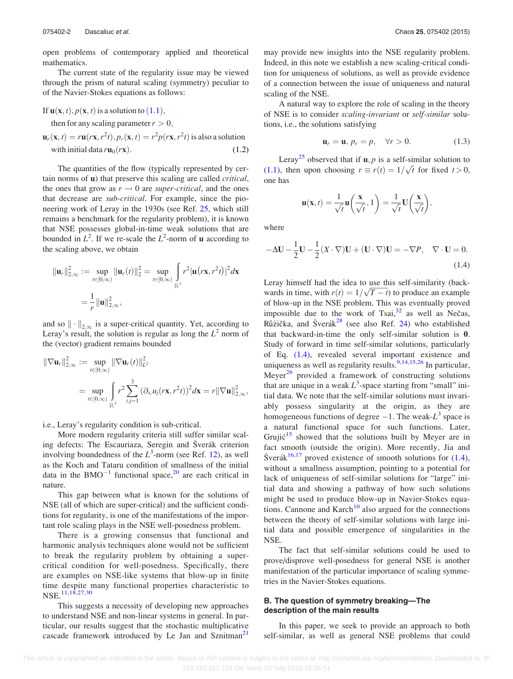<span id="page-2-0"></span>open problems of contemporary applied and theoretical mathematics.

The current state of the regularity issue may be viewed through the prism of natural scaling (symmetry) peculiar to of the Navier-Stokes equations as follows:

If 
$$
\mathbf{u}(\mathbf{x},t)
$$
,  $p(\mathbf{x},t)$  is a solution to (1.1),

then for any scaling parameter  $r > 0$ ,

$$
\mathbf{u}_r(\mathbf{x},t) = r\mathbf{u}(r\mathbf{x},r^2t), p_r(\mathbf{x},t) = r^2p(r\mathbf{x},r^2t) \text{ is also a solution}
$$
  
with initial data  $r\mathbf{u}_0(r\mathbf{x})$ . (1.2)

The quantities of the flow (typically represented by certain norms of u) that preserve this scaling are called critical, the ones that grow as  $r \to 0$  are *super-critical*, and the ones that decrease are sub-critical. For example, since the pioneering work of Leray in the 1930s (see Ref. [25,](#page-16-0) which still remains a benchmark for the regularity problem), it is known that NSE possesses global-in-time weak solutions that are bounded in  $L^2$ . If we re-scale the  $L^2$ -norm of **u** according to the scaling above, we obtain

$$
\|\mathbf{u}_r\|_{2,\infty}^2 := \sup_{t \in [0,\infty)} \|\mathbf{u}_r(t)\|_2^2 = \sup_{t \in [0,\infty)} \int_{\mathbb{R}^3} r^2 |\mathbf{u}(r\mathbf{x}, r^2t)|^2 d\mathbf{x}
$$

$$
= \frac{1}{r} \|\mathbf{u}\|_{2,\infty}^2,
$$

and so  $\|\cdot\|_{2,\infty}$  is a super-critical quantity. Yet, according to Leray's result, the solution is regular as long the  $L^2$  norm of the (vector) gradient remains bounded

$$
\begin{aligned} \|\nabla \mathbf{u}_r\|_{2,\infty}^2 &:= \sup_{t \in [0,\infty)} \|\nabla \mathbf{u}_r(t)\|_{L^2}^2 \\ &= \sup_{t \in [0,\infty)} \int_{\mathbb{R}^3} r^2 \sum_{i,j=1}^3 \left(\partial_{x_i} u_j(r\mathbf{x}, r^2 t)\right)^2 d\mathbf{x} = r \|\nabla \mathbf{u}\|_{2,\infty}^2, \end{aligned}
$$

i.e., Leray's regularity condition is sub-critical.

More modern regularity criteria still suffer similar scaling defects: The Escauriaza, Seregin and Šverák criterion involving boundedness of the  $L^3$ -norm (see Ref. [12\)](#page-15-0), as well as the Koch and Tataru condition of smallness of the initial data in the  $BMO^{-1}$  functional space,<sup>[20](#page-16-0)</sup> are each critical in nature.

This gap between what is known for the solutions of NSE (all of which are super-critical) and the sufficient conditions for regularity, is one of the manifestations of the important role scaling plays in the NSE well-posedness problem.

There is a growing consensus that functional and harmonic analysis techniques alone would not be sufficient to break the regularity problem by obtaining a supercritical condition for well-posedness. Specifically, there are examples on NSE-like systems that blow-up in finite time despite many functional properties characteristic to NSE.<sup>[11,](#page-15-0)[18,27](#page-16-0),[30](#page-16-0)</sup>

This suggests a necessity of developing new approaches to understand NSE and non-linear systems in general. In particular, our results suggest that the stochastic multiplicative cascade framework introduced by Le Jan and Sznitman<sup>[21](#page-16-0)</sup> may provide new insights into the NSE regularity problem. Indeed, in this note we establish a new scaling-critical condition for uniqueness of solutions, as well as provide evidence of a connection between the issue of uniqueness and natural scaling of the NSE.

A natural way to explore the role of scaling in the theory of NSE is to consider scaling-invariant or self-similar solutions, i.e., the solutions satisfying

$$
\mathbf{u}_r = \mathbf{u}, \, p_r = p, \quad \forall r > 0. \tag{1.3}
$$

Leray<sup>[25](#page-16-0)</sup> observed that if  $\mathbf{u}, p$  is a self-similar solution to Letay observed that if  $\mathbf{u}, p$  is a sen-similar solution to<br>[\(1.1\)](#page-1-0), then upon choosing  $r \equiv r(t) = 1/\sqrt{t}$  for fixed  $t > 0$ , one has

$$
\mathbf{u}(\mathbf{x},t) = \frac{1}{\sqrt{t}} \mathbf{u}\left(\frac{\mathbf{x}}{\sqrt{t}},1\right) = \frac{1}{\sqrt{t}} \mathbf{U}\left(\frac{\mathbf{x}}{\sqrt{t}}\right),\,
$$

where

$$
-\Delta \mathbf{U} - \frac{1}{2} \mathbf{U} - \frac{1}{2} (X \cdot \nabla) \mathbf{U} + (\mathbf{U} \cdot \nabla) \mathbf{U} = -\nabla P, \quad \nabla \cdot \mathbf{U} = 0.
$$
\n(1.4)

Leray himself had the idea to use this self-similarity (back-Letay infilted the deal to use this sen-similarity (back-<br>wards in time, with  $r(t) = 1/\sqrt{T-t}$ ) to produce an example of blow-up in the NSE problem. This was eventually proved impossible due to the work of  $Tsai$ ,  $32$  as well as Nečas, Růžička, and Šverák<sup>28</sup> (see also Ref. [24\)](#page-16-0) who established that backward-in-time the only self-similar solution is 0. Study of forward in time self-similar solutions, particularly of Eq. (1.4), revealed several important existence and uniqueness as well as regularity results.<sup>[9,14,15](#page-15-0)[,26](#page-16-0)</sup> In particular, Meyer<sup>[26](#page-16-0)</sup> provided a framework of constructing solutions that are unique in a weak  $L^3$ -space starting from "small" initial data. We note that the self-similar solutions must invariably possess singularity at the origin, as they are homogeneous functions of degree  $-1$ . The weak- $L<sup>3</sup>$  space is a natural functional space for such functions. Later, Grujić<sup>[15](#page-15-0)</sup> showed that the solutions built by Meyer are in fact smooth (outside the origin). More recently, Jia and Šverá $k^{16,17}$  $k^{16,17}$  $k^{16,17}$  $k^{16,17}$  proved existence of smooth solutions for (1.4), without a smallness assumption, pointing to a potential for lack of uniqueness of self-similar solutions for "large" initial data and showing a pathway of how such solutions might be used to produce blow-up in Navier-Stokes equa-tions. Cannone and Karch<sup>[10](#page-15-0)</sup> also argued for the connections between the theory of self-similar solutions with large initial data and possible emergence of singularities in the NSE.

The fact that self-similar solutions could be used to prove/disprove well-posedness for general NSE is another manifestation of the particular importance of scaling symmetries in the Navier-Stokes equations.

#### B. The question of symmetry breaking—The description of the main results

In this paper, we seek to provide an approach to both self-similar, as well as general NSE problems that could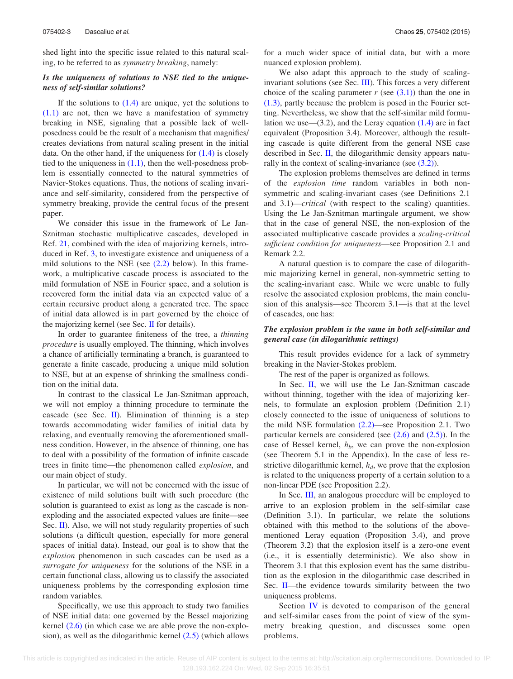shed light into the specific issue related to this natural scaling, to be referred to as symmetry breaking, namely:

#### Is the uniqueness of solutions to NSE tied to the uniqueness of self-similar solutions?

If the solutions to  $(1.4)$  are unique, yet the solutions to [\(1.1\)](#page-1-0) are not, then we have a manifestation of symmetry breaking in NSE, signaling that a possible lack of wellposedness could be the result of a mechanism that magnifies/ creates deviations from natural scaling present in the initial data. On the other hand, if the uniqueness for  $(1.4)$  is closely tied to the uniqueness in  $(1.1)$ , then the well-posedness problem is essentially connected to the natural symmetries of Navier-Stokes equations. Thus, the notions of scaling invariance and self-similarity, considered from the perspective of symmetry breaking, provide the central focus of the present paper.

We consider this issue in the framework of Le Jan-Sznitman stochastic multiplicative cascades, developed in Ref. [21,](#page-16-0) combined with the idea of majorizing kernels, introduced in Ref. [3](#page-15-0), to investigate existence and uniqueness of a mild solutions to the NSE (see [\(2.2\)](#page-4-0) below). In this framework, a multiplicative cascade process is associated to the mild formulation of NSE in Fourier space, and a solution is recovered form the initial data via an expected value of a certain recursive product along a generated tree. The space of initial data allowed is in part governed by the choice of the majorizing kernel (see Sec. [II](#page-4-0) for details).

In order to guarantee finiteness of the tree, a thinning procedure is usually employed. The thinning, which involves a chance of artificially terminating a branch, is guaranteed to generate a finite cascade, producing a unique mild solution to NSE, but at an expense of shrinking the smallness condition on the initial data.

In contrast to the classical Le Jan-Sznitman approach, we will not employ a thinning procedure to terminate the cascade (see Sec.  $II$ ). Elimination of thinning is a step towards accommodating wider families of initial data by relaxing, and eventually removing the aforementioned smallness condition. However, in the absence of thinning, one has to deal with a possibility of the formation of infinite cascade trees in finite time—the phenomenon called explosion, and our main object of study.

In particular, we will not be concerned with the issue of existence of mild solutions built with such procedure (the solution is guaranteed to exist as long as the cascade is nonexploding and the associated expected values are finite—see Sec. [II](#page-4-0)). Also, we will not study regularity properties of such solutions (a difficult question, especially for more general spaces of initial data). Instead, our goal is to show that the explosion phenomenon in such cascades can be used as a surrogate for uniqueness for the solutions of the NSE in a certain functional class, allowing us to classify the associated uniqueness problems by the corresponding explosion time random variables.

Specifically, we use this approach to study two families of NSE initial data: one governed by the Bessel majorizing kernel [\(2.6\)](#page-5-0) (in which case we are able prove the non-explosion), as well as the dilogarithmic kernel  $(2.5)$  (which allows for a much wider space of initial data, but with a more nuanced explosion problem).

We also adapt this approach to the study of scalinginvariant solutions (see Sec. [III\)](#page-8-0). This forces a very different choice of the scaling parameter r (see  $(3.1)$ ) than the one in [\(1.3\)](#page-2-0), partly because the problem is posed in the Fourier setting. Nevertheless, we show that the self-similar mild formulation we use— $(3.2)$ , and the Leray equation  $(1.4)$  are in fact equivalent (Proposition 3.4). Moreover, although the resulting cascade is quite different from the general NSE case described in Sec. [II,](#page-4-0) the dilogarithmic density appears naturally in the context of scaling-invariance (see [\(3.2\)](#page-8-0)).

The explosion problems themselves are defined in terms of the explosion time random variables in both nonsymmetric and scaling-invariant cases (see Definitions 2.1 and 3.1)—*critical* (with respect to the scaling) quantities. Using the Le Jan-Sznitman martingale argument, we show that in the case of general NSE, the non-explosion of the associated multiplicative cascade provides a scaling-critical sufficient condition for uniqueness—see Proposition 2.1 and Remark 2.2.

A natural question is to compare the case of dilogarithmic majorizing kernel in general, non-symmetric setting to the scaling-invariant case. While we were unable to fully resolve the associated explosion problems, the main conclusion of this analysis—see Theorem 3.1—is that at the level of cascades, one has:

#### The explosion problem is the same in both self-similar and general case (in dilogarithmic settings)

This result provides evidence for a lack of symmetry breaking in the Navier-Stokes problem.

The rest of the paper is organized as follows.

In Sec. [II,](#page-4-0) we will use the Le Jan-Sznitman cascade without thinning, together with the idea of majorizing kernels, to formulate an explosion problem (Definition 2.1) closely connected to the issue of uniqueness of solutions to the mild NSE formulation [\(2.2\)—](#page-4-0)see Proposition 2.1. Two particular kernels are considered (see  $(2.6)$  and  $(2.5)$ ). In the case of Bessel kernel,  $h<sub>b</sub>$ , we can prove the non-explosion (see Theorem 5.1 in the Appendix). In the case of less restrictive dilogarithmic kernel,  $h_d$ , we prove that the explosion is related to the uniqueness property of a certain solution to a non-linear PDE (see Proposition 2.2).

In Sec. [III](#page-8-0), an analogous procedure will be employed to arrive to an explosion problem in the self-similar case (Definition 3.1). In particular, we relate the solutions obtained with this method to the solutions of the abovementioned Leray equation (Proposition 3.4), and prove (Theorem 3.2) that the explosion itself is a zero-one event (i.e., it is essentially deterministic). We also show in Theorem 3.1 that this explosion event has the same distribution as the explosion in the dilogarithmic case described in Sec. [II](#page-4-0)—the evidence towards similarity between the two uniqueness problems.

Section [IV](#page-11-0) is devoted to comparison of the general and self-similar cases from the point of view of the symmetry breaking question, and discusses some open problems.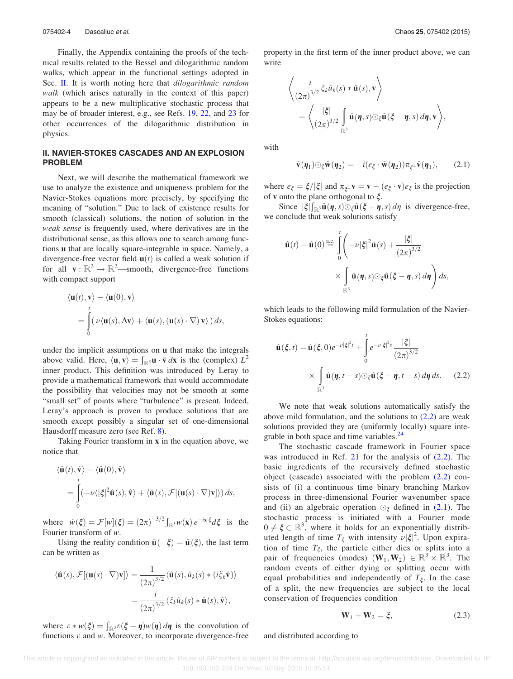<span id="page-4-0"></span>Finally, the Appendix containing the proofs of the technical results related to the Bessel and dilogarithmic random walks, which appear in the functional settings adopted in Sec. II. It is worth noting here that *dilogarithmic random* walk (which arises naturally in the context of this paper) appears to be a new multiplicative stochastic process that may be of broader interest, e.g., see Refs. [19,](#page-16-0) [22](#page-16-0), and [23](#page-16-0) for other occurrences of the dilogarithmic distribution in physics.

#### II. NAVIER-STOKES CASCADES AND AN EXPLOSION PROBLEM

Next, we will describe the mathematical framework we use to analyze the existence and uniqueness problem for the Navier-Stokes equations more precisely, by specifying the meaning of "solution." Due to lack of existence results for smooth (classical) solutions, the notion of solution in the weak sense is frequently used, where derivatives are in the distributional sense, as this allows one to search among functions u that are locally square-integrable in space. Namely, a divergence-free vector field  $\mathbf{u}(t)$  is called a weak solution if for all  $\mathbf{v} : \mathbb{R}^3 \to \mathbb{R}^3$ —smooth, divergence-free functions with compact support

$$
\langle \mathbf{u}(t), \mathbf{v} \rangle - \langle \mathbf{u}(0), \mathbf{v} \rangle
$$
  
= 
$$
\int_{0}^{t} (\nu \langle \mathbf{u}(s), \Delta \mathbf{v} \rangle + \langle \mathbf{u}(s), (\mathbf{u}(s) \cdot \nabla) \mathbf{v} \rangle) ds,
$$

under the implicit assumptions on u that make the integrals above valid. Here,  $\langle \mathbf{u}, \mathbf{v} \rangle = \int_{\mathbb{R}^3} \mathbf{u} \cdot \nabla \, d\mathbf{x}$  is the (complex)  $L^2$ inner product. This definition was introduced by Leray to provide a mathematical framework that would accommodate the possibility that velocities may not be smooth at some "small set" of points where "turbulence" is present. Indeed, Leray's approach is proven to produce solutions that are smooth except possibly a singular set of one-dimensional Hausdorff measure zero (see Ref. [8\)](#page-15-0).

Taking Fourier transform in x in the equation above, we notice that

$$
\langle \hat{\mathbf{u}}(t), \hat{\mathbf{v}} \rangle - \langle \hat{\mathbf{u}}(0), \hat{\mathbf{v}} \rangle
$$
  
= 
$$
\int_{0}^{t} (-\nu \langle |\xi|^2 \hat{\mathbf{u}}(s), \hat{\mathbf{v}} \rangle + \langle \hat{\mathbf{u}}(s), \mathcal{F}[(\mathbf{u}(s) \cdot \nabla) \mathbf{v}] \rangle) ds,
$$

where  $\hat{w}(\xi) = \mathcal{F}[w](\xi) = (2\pi)^{-3/2} \int_{\mathbb{R}^3} w(\mathbf{x}) e^{-i\mathbf{x}\cdot\xi} d\xi$  is the Fourier transform of w.

Using the reality condition  $\hat{\mathbf{u}}(-\xi) = \overline{\hat{\mathbf{u}}}(\xi)$ , the last term can be written as

$$
\langle \hat{\mathbf{u}}(s), \mathcal{F}[(\mathbf{u}(s) \cdot \nabla)\mathbf{v}] \rangle = \frac{1}{(2\pi)^{3/2}} \langle \hat{\mathbf{u}}(s), \hat{u}_k(s) * (i\xi_k \hat{\mathbf{v}}) \rangle
$$
  
= 
$$
\frac{-i}{(2\pi)^{3/2}} \langle \xi_k \hat{u}_k(s) * \hat{\mathbf{u}}(s), \hat{\mathbf{v}} \rangle,
$$

where  $v * w(\xi) = \int_{\mathbb{R}^3} v(\xi - \eta) w(\eta) d\eta$  is the convolution of functions  $v$  and  $w$ . Moreover, to incorporate divergence-free property in the first term of the inner product above, we can write

$$
\left\langle \frac{-i}{(2\pi)^{3/2}} \xi_k \hat{u}_k(s) * \hat{\mathbf{u}}(s), \mathbf{v} \right\rangle
$$
  
= 
$$
\left\langle \frac{|\xi|}{(2\pi)^{3/2}} \int_{\mathbb{R}^3} \hat{\mathbf{u}}(\boldsymbol{\eta}, s) \odot_{\xi} \hat{\mathbf{u}}(\xi - \boldsymbol{\eta}, s) d\boldsymbol{\eta}, \mathbf{v} \right\rangle,
$$

with

$$
\hat{\mathbf{v}}(\boldsymbol{\eta}_1) \odot_{\xi} \hat{\mathbf{w}}(\boldsymbol{\eta}_2) = -i(e_{\xi} \cdot \hat{\mathbf{w}}(\boldsymbol{\eta}_2)) \pi_{\xi^{\perp}} \hat{\mathbf{v}}(\boldsymbol{\eta}_1), \qquad (2.1)
$$

where  $e_{\xi} = \xi/|\xi|$  and  $\pi_{\xi} \Psi \Psi = \mathbf{v} - (e_{\xi} \cdot \mathbf{v}) e_{\xi}$  is the projection of **v** onto the plane orthogonal to  $\xi$ .<br>Since  $|\xi| \int \hat{p}(\mathbf{r}, \mathbf{r}) \odot \hat{p}(\xi, \mathbf{r})$ 

Since  $|\xi| \int_{\mathbb{R}^3} \hat{\mathbf{u}}(\eta, s) \odot_{\xi} \hat{\mathbf{u}}(\xi - \eta, s) d\eta$  is divergence-free, we conclude that weak solutions satisfy

$$
\hat{\mathbf{u}}(t) - \hat{\mathbf{u}}(0) \stackrel{\text{a.e.}}{=} \int_{0}^{t} \left( -\nu |\xi|^2 \hat{\mathbf{u}}(s) + \frac{|\xi|}{(2\pi)^{3/2}} \times \int_{\mathbb{R}^3} \hat{\mathbf{u}}(\boldsymbol{\eta}, s) \odot_{\xi} \hat{\mathbf{u}}(\xi - \boldsymbol{\eta}, s) d\boldsymbol{\eta} \right) ds,
$$

which leads to the following mild formulation of the Navier-Stokes equations:

$$
\hat{\mathbf{u}}(\xi, t) = \hat{\mathbf{u}}(\xi, 0) e^{-\nu |\xi|^2 t} + \int_0^t e^{-\nu |\xi|^2 s} \frac{|\xi|}{(2\pi)^{3/2}} \times \int_{\mathbb{R}^3} \hat{\mathbf{u}}(\eta, t - s) \odot_{\xi} \hat{\mathbf{u}}(\xi - \eta, t - s) d\eta ds. \quad (2.2)
$$

We note that weak solutions automatically satisfy the above mild formulation, and the solutions to  $(2.2)$  are weak solutions provided they are (uniformly locally) square inte-grable in both space and time variables.<sup>[24](#page-16-0)</sup>

The stochastic cascade framework in Fourier space was introduced in Ref. [21](#page-16-0) for the analysis of  $(2.2)$ . The basic ingredients of the recursively defined stochastic object (cascade) associated with the problem  $(2.2)$  consists of (i) a continuous time binary branching Markov process in three-dimensional Fourier wavenumber space and (ii) an algebraic operation  $\odot_{\xi}$  defined in (2.1). The stochastic process is initiated with a Fourier mode  $0 \neq \xi \in \mathbb{R}^3$ , where it holds for an exponentially distributed length of time  $T_{\xi}$  with intensity  $\nu |\xi|^2$ . Upon expiration of time  $T_{\xi}$ , the particle either dies or splits into a pair of frequencies (modes)  $(\mathbf{W}_1, \mathbf{W}_2) \ \in \mathbb{R}^3 \times \mathbb{R}^3$ . The random events of either dying or splitting occur with equal probabilities and independently of  $T_{\xi}$ . In the case of a split, the new frequencies are subject to the local conservation of frequencies condition

$$
\mathbf{W}_1 + \mathbf{W}_2 = \xi, \tag{2.3}
$$

#### and distributed according to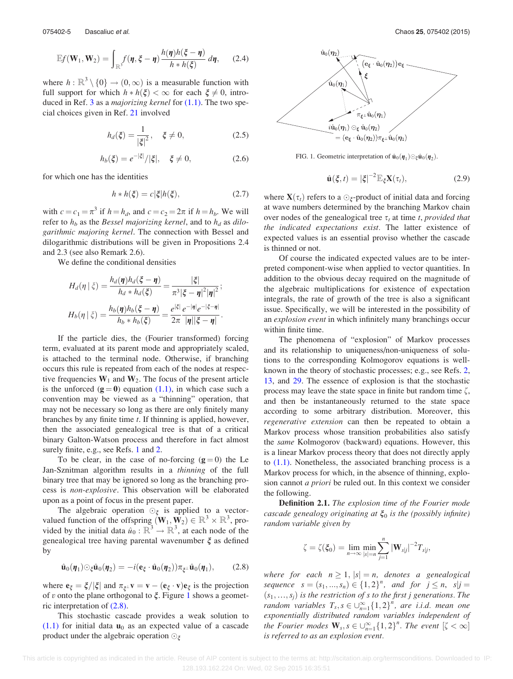<span id="page-5-0"></span>075402-5 Dascaliuc *et al.* Chaos 25, 075402 (2015)

$$
\mathbb{E}f(\mathbf{W}_1, \mathbf{W}_2) = \int_{\mathbb{R}^3} f(\boldsymbol{\eta}, \boldsymbol{\xi} - \boldsymbol{\eta}) \frac{h(\boldsymbol{\eta})h(\boldsymbol{\xi} - \boldsymbol{\eta})}{h * h(\boldsymbol{\xi})} d\boldsymbol{\eta}, \qquad (2.4)
$$

where  $h : \mathbb{R}^3 \setminus \{0\} \to (0, \infty)$  is a measurable function with full support for which  $h * h(\xi) < \infty$  for each  $\xi \neq 0$ , intro-duced in Ref. [3](#page-15-0) as a *majorizing kernel* for  $(1.1)$ . The two special choices given in Ref. [21](#page-16-0) involved

$$
h_d(\xi) = \frac{1}{|\xi|^2}, \quad \xi \neq 0,
$$
\n(2.5)

$$
h_b(\xi) = e^{-|\xi|} / |\xi|, \quad \xi \neq 0,
$$
\n(2.6)

for which one has the identities

$$
h * h(\xi) = c|\xi|h(\xi),\tag{2.7}
$$

with  $c = c_1 = \pi^3$  if  $h = h_d$ , and  $c = c_2 = 2\pi$  if  $h = h_b$ . We will refer to  $h_b$  as the Bessel majorizing kernel, and to  $h_d$  as dilogarithmic majoring kernel. The connection with Bessel and dilogarithmic distributions will be given in Propositions 2.4 and 2.3 (see also Remark 2.6).

We define the conditional densities

$$
H_d(\eta \mid \xi) = \frac{h_d(\eta)h_d(\xi - \eta)}{h_d * h_d(\xi)} = \frac{|\xi|}{\pi^3 |\xi - \eta|^2 |\eta|^2};
$$
  

$$
H_b(\eta \mid \xi) = \frac{h_b(\eta)h_b(\xi - \eta)}{h_b * h_b(\xi)} = \frac{e^{|\xi|}e^{-|\eta|}e^{-|\xi - \eta|}}{2\pi |\eta| |\xi - \eta|}.
$$

If the particle dies, the (Fourier transformed) forcing term, evaluated at its parent mode and appropriately scaled, is attached to the terminal node. Otherwise, if branching occurs this rule is repeated from each of the nodes at respective frequencies  $W_1$  and  $W_2$ . The focus of the present article is the unforced  $(g = 0)$  equation [\(1.1\),](#page-1-0) in which case such a convention may be viewed as a "thinning" operation, that may not be necessary so long as there are only finitely many branches by any finite time  $t$ . If thinning is applied, however, then the associated genealogical tree is that of a critical binary Galton-Watson process and therefore in fact almost surely finite, e.g., see Refs. [1](#page-15-0) and [2](#page-15-0).

To be clear, in the case of no-forcing  $(g=0)$  the Le Jan-Sznitman algorithm results in a thinning of the full binary tree that may be ignored so long as the branching process is non-explosive. This observation will be elaborated upon as a point of focus in the present paper.

The algebraic operation  $\odot_{\xi}$  is applied to a vectorvalued function of the offspring  $(\mathbf{W}_1, \mathbf{W}_2) \in \mathbb{R}^3 \times \mathbb{R}^3$ , provided by the initial data  $\hat{u}_0 : \mathbb{R}^3 \to \mathbb{R}^3$ , at each node of the genealogical tree having parental wavenumber  $\xi$  as defined by

$$
\hat{\mathbf{u}}_0(\boldsymbol{\eta}_1) \odot_{\xi} \hat{\mathbf{u}}_0(\boldsymbol{\eta}_2) = -i(\mathbf{e}_{\xi} \cdot \hat{\mathbf{u}}_0(\boldsymbol{\eta}_2)) \pi_{\xi^{\perp}} \hat{\mathbf{u}}_0(\boldsymbol{\eta}_1), \qquad (2.8)
$$

where  $e_{\xi} = \xi/|\xi|$  and  $\pi_{\xi} v = v - (e_{\xi} \cdot v)e_{\xi}$  is the projection of v onto the plane orthogonal to  $\xi$ . Figure 1 shows a geometric interpretation of (2.8).

This stochastic cascade provides a weak solution to  $(1.1)$  for initial data  $\mathbf{u}_0$  as an expected value of a cascade product under the algebraic operation  $\odot_{\xi}$ 



FIG. 1. Geometric interpretation of  $\hat{\mathbf{u}}_0(\boldsymbol{\eta}_1)\odot_{\xi}\hat{\mathbf{u}}_0(\boldsymbol{\eta}_2)$ .

$$
\hat{\mathbf{u}}(\xi, t) = |\xi|^{-2} \mathbb{E}_{\xi} \mathbf{X}(\tau_t), \qquad (2.9)
$$

where  $\mathbf{X}(\tau_t)$  refers to a  $\odot_{\xi}$ -product of initial data and forcing at wave numbers determined by the branching Markov chain over nodes of the genealogical tree  $\tau_t$  at time t, provided that the indicated expectations exist. The latter existence of expected values is an essential proviso whether the cascade is thinned or not.

Of course the indicated expected values are to be interpreted component-wise when applied to vector quantities. In addition to the obvious decay required on the magnitude of the algebraic multiplications for existence of expectation integrals, the rate of growth of the tree is also a significant issue. Specifically, we will be interested in the possibility of an explosion event in which infinitely many branchings occur within finite time.

The phenomena of "explosion" of Markov processes and its relationship to uniqueness/non-uniqueness of solutions to the corresponding Kolmogorov equations is wellknown in the theory of stochastic processes; e.g., see Refs. [2](#page-15-0), [13](#page-15-0), and [29.](#page-16-0) The essence of explosion is that the stochastic process may leave the state space in finite but random time  $\zeta$ , and then be instantaneously returned to the state space according to some arbitrary distribution. Moreover, this regenerative extension can then be repeated to obtain a Markov process whose transition probabilities also satisfy the same Kolmogorov (backward) equations. However, this is a linear Markov process theory that does not directly apply to [\(1.1\).](#page-1-0) Nonetheless, the associated branching process is a Markov process for which, in the absence of thinning, explosion cannot a priori be ruled out. In this context we consider the following.

**Definition 2.1.** The explosion time of the Fourier mode cascade genealogy originating at  $\xi_0$  is the (possibly infinite) random variable given by

$$
\zeta=\zeta(\xi_0)=\lim_{n\to\infty}\min_{|s|=n}\sum_{j=1}^n|\mathbf{W}_{s|j}|^{-2}T_{s|j},
$$

where for each  $n \geq 1$ ,  $|s| = n$ , denotes a genealogical sequence  $s = (s_1, ..., s_n) \in \{1,2\}^n$ , and for  $j \leq n$ ,  $s|j =$  $(s_1, ..., s_i)$  is the restriction of s to the first j generations. The random variables  $T_s$ ,  $s \in \bigcup_{n=1}^{\infty} \{1,2\}^n$ , are i.i.d. mean one exponentially distributed random variables independent of the Fourier modes  $\mathbf{W}_s$ ,  $s \in \bigcup_{n=1}^{\infty} \{1,2\}^n$ . The event  $\left[\zeta < \infty\right]$ is referred to as an explosion event.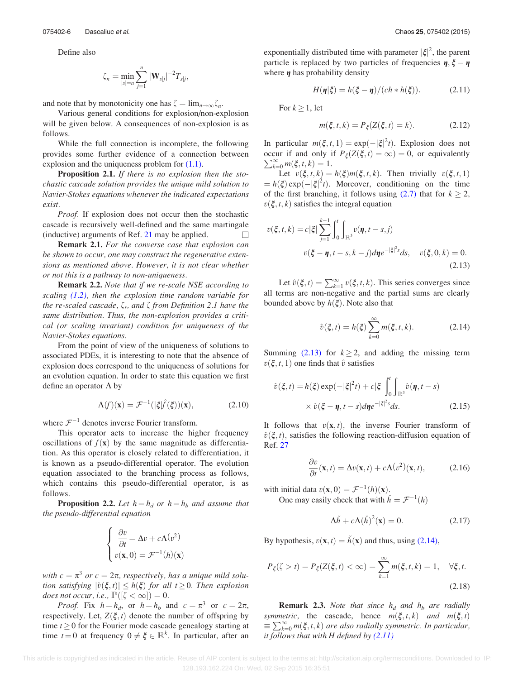<span id="page-6-0"></span>Define also

$$
\zeta_n = \min_{|s|=n} \sum_{j=1}^n |\mathbf{W}_{s|j}|^{-2} T_{s|j},
$$

and note that by monotonicity one has  $\zeta = \lim_{n \to \infty} \zeta_n$ .

Various general conditions for explosion/non-explosion will be given below. A consequences of non-explosion is as follows.

While the full connection is incomplete, the following provides some further evidence of a connection between explosion and the uniqueness problem for [\(1.1\).](#page-1-0)

Proposition 2.1. If there is no explosion then the stochastic cascade solution provides the unique mild solution to Navier-Stokes equations whenever the indicated expectations exist.

Proof. If explosion does not occur then the stochastic cascade is recursively well-defined and the same martingale (inductive) arguments of Ref. [21](#page-16-0) may be applied. - $\Box$ 

**Remark 2.1.** For the converse case that explosion can be shown to occur, one may construct the regenerative extensions as mentioned above. However, it is not clear whether or not this is a pathway to non-uniqueness.

Remark 2.2. Note that if we re-scale NSE according to scaling  $(1.2)$ , then the explosion time random variable for the re-scaled cascade,  $\zeta_r$ , and  $\zeta$  from Definition 2.1 have the same distribution. Thus, the non-explosion provides a critical (or scaling invariant) condition for uniqueness of the Navier-Stokes equations.

From the point of view of the uniqueness of solutions to associated PDEs, it is interesting to note that the absence of explosion does correspond to the uniqueness of solutions for an evolution equation. In order to state this equation we first define an operator  $\Lambda$  by

$$
\Lambda(f)(\mathbf{x}) = \mathcal{F}^{-1}(|\xi|\hat{f}(\xi))(\mathbf{x}),\tag{2.10}
$$

where  $\mathcal{F}^{-1}$  denotes inverse Fourier transform.

This operator acts to increase the higher frequency oscillations of  $f(\mathbf{x})$  by the same magnitude as differentiation. As this operator is closely related to differentiation, it is known as a pseudo-differential operator. The evolution equation associated to the branching process as follows, which contains this pseudo-differential operator, is as follows.

**Proposition 2.2.** Let  $h = h_d$  or  $h = h_b$  and assume that the pseudo-differential equation

$$
\begin{cases} \frac{\partial v}{\partial t} = \Delta v + c\Lambda(v^2) \\ v(\mathbf{x}, 0) = \mathcal{F}^{-1}(h)(\mathbf{x}) \end{cases}
$$

with  $c = \pi^3$  or  $c = 2\pi$ , respectively, has a unique mild solution satisfying  $|\hat{v}(\xi, t)| \leq h(\xi)$  for all  $t \geq 0$ . Then explosion does not occur, i.e.,  $\mathbb{P}([\zeta < \infty]) = 0.$ 

*Proof.* Fix  $h = h_d$ , or  $h = h_b$  and  $c = \pi^3$  or  $c = 2\pi$ , respectively. Let,  $Z(\xi, t)$  denote the number of offspring by time  $t \geq 0$  for the Fourier mode cascade genealogy starting at time  $t = 0$  at frequency  $0 \neq \xi \in \mathbb{R}^k$ . In particular, after an

exponentially distributed time with parameter  $|\xi|^2$ , the parent particle is replaced by two particles of frequencies  $\eta$ ,  $\xi - \eta$ where  $\eta$  has probability density

$$
H(\pmb{\eta}|\xi) = h(\xi - \pmb{\eta})/(ch * h(\xi)).
$$
 (2.11)

For  $k \geq 1$ , let

$$
m(\xi, t, k) = P_{\xi}(Z(\xi, t) = k).
$$
 (2.12)

In particular  $m(\xi, t, 1) = \exp(-|\xi|^2 t)$ . Explosion does not  $\sum_{k=0}^{\infty} m(\xi, t, k) = 1.$ occur if and only if  $P_{\xi}(Z(\xi, t) = \infty) = 0$ , or equivalently

Let  $v(\xi, t, k) = h(\xi)m(\xi, t, k)$ . Then trivially  $v(\xi, t, 1)$  $= h(\xi) \exp(-|\xi|^2 t)$ . Moreover, conditioning on the time of the first branching, it follows using  $(2.7)$  that for  $k \ge 2$ ,  $v(\xi, t, k)$  satisfies the integral equation

$$
v(\xi, t, k) = c|\xi| \sum_{j=1}^{k-1} \int_0^t \int_{\mathbb{R}^3} v(\eta, t - s, j)
$$
  

$$
v(\xi - \eta, t - s, k - j) d\eta e^{-|\xi|^2 s} ds, \quad v(\xi, 0, k) = 0.
$$
  
(2.13)

Let  $\hat{v}(\xi, t) = \sum_{k=1}^{\infty} v(\xi, t, k)$ . This series converges since all terms are non-negative and the partial sums are clearly bounded above by  $h(\xi)$ . Note also that

$$
\hat{v}(\xi, t) = h(\xi) \sum_{k=0}^{\infty} m(\xi, t, k). \tag{2.14}
$$

Summing (2.13) for  $k \ge 2$ , and adding the missing term  $v(\xi, t, 1)$  one finds that  $\hat{v}$  satisfies

$$
\hat{v}(\xi, t) = h(\xi) \exp(-|\xi|^2 t) + c|\xi| \int_0^t \int_{\mathbb{R}^3} \hat{v}(\eta, t - s)
$$
  
 
$$
\times \hat{v}(\xi - \eta, t - s) d\eta e^{-|\xi|^2 s} ds. \tag{2.15}
$$

It follows that  $v(\mathbf{x}, t)$ , the inverse Fourier transform of  $\hat{v}(\xi, t)$ , satisfies the following reaction-diffusion equation of Ref. [27](#page-16-0)

$$
\frac{\partial v}{\partial t}(\mathbf{x},t) = \Delta v(\mathbf{x},t) + c\Lambda(v^2)(\mathbf{x},t),\tag{2.16}
$$

with initial data  $v(\mathbf{x}, 0) = \mathcal{F}^{-1}(h)(\mathbf{x})$ .

One may easily check that with  $\tilde{h} = \mathcal{F}^{-1}(h)$ 

$$
\Delta \tilde{h} + c\Lambda (\tilde{h})^2(\mathbf{x}) = 0. \tag{2.17}
$$

By hypothesis,  $v(\mathbf{x}, t) = \check{h}(\mathbf{x})$  and thus, using (2.14),

$$
P_{\xi}(\zeta > t) = P_{\xi}(Z(\xi, t) < \infty) = \sum_{k=1}^{\infty} m(\xi, t, k) = 1, \quad \forall \xi, t.
$$
\n(2.18)

**Remark 2.3.** Note that since  $h_d$  and  $h_b$  are radially symmetric, the cascade, hence  $m(\xi, t, k)$  and  $m(\xi, t)$  $\equiv \sum_{k=0}^{\infty} m(\xi, t, k)$  are also radially symmetric. In particular, it follows that with H defined by  $(2.11)$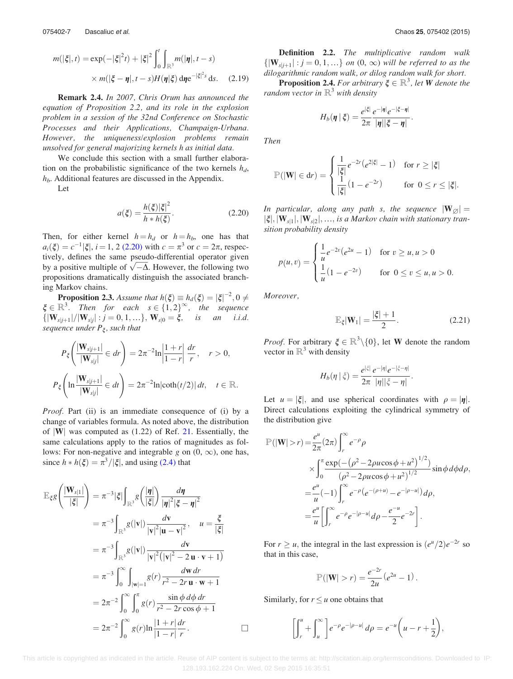<span id="page-7-0"></span>
$$
m(|\xi|,t) = \exp(-|\xi|^2 t) + |\xi|^2 \int_0^t \int_{\mathbb{R}^3} m(|\eta|,t-s)
$$
  
 
$$
\times m(|\xi - \eta|,t-s)H(\eta|\xi) \,d\eta e^{-|\xi|^2 s} \,ds. \quad (2.19)
$$

Remark 2.4. In 2007, Chris Orum has announced the equation of Proposition 2.2, and its role in the explosion problem in a session of the 32nd Conference on Stochastic Processes and their Applications, Champaign-Urbana. However, the uniqueness/explosion problems remain unsolved for general majorizing kernels h as initial data.

We conclude this section with a small further elaboration on the probabilistic significance of the two kernels  $h_d$ ,  $h<sub>b</sub>$ . Additional features are discussed in the Appendix.

Let

$$
a(\xi) = \frac{h(\xi)|\xi|^2}{h * h(\xi)}.
$$
 (2.20)

Then, for either kernel  $h = h_d$  or  $h = h_b$ , one has that  $a_i(\xi) = c^{-1} |\xi|, i = 1, 2$  (2.20) with  $c = \pi^3$  or  $c = 2\pi$ , respectively, defines the same pseudo-differential operator given tively, defines the same pseudo-differential operator given<br>by a positive multiple of  $\sqrt{-\Delta}$ . However, the following two propositions dramatically distinguish the associated branching Markov chains.

**Proposition 2.3.** Assume that  $h(\xi) \equiv h_d(\xi) = |\xi|^{-2}, 0 \neq 0$  $\xi \in \mathbb{R}^3$ . Then for each  $s \in \{1,2\}^\infty$ , the sequence  $\{|\mathbf{W}_{s|j+1}|/|\mathbf{W}_{s|j}| : j = 0, 1, ...\}, \mathbf{W}_{s|0} = \xi$ , is an i.i.d. sequence under  $P_{\xi}$ , such that

$$
P_{\xi}\left(\frac{|\mathbf{W}_{s|j+1}|}{|\mathbf{W}_{s|j}|} \in dr\right) = 2\pi^{-2}\ln\left|\frac{1+r}{1-r}\right| \frac{dr}{r}, \quad r > 0,
$$
  

$$
P_{\xi}\left(\ln\frac{|\mathbf{W}_{s|j+1}|}{|\mathbf{W}_{s|j}|} \in dt\right) = 2\pi^{-2}\ln|\coth(t/2)| dt, \quad t \in \mathbb{R}.
$$

Proof. Part (ii) is an immediate consequence of (i) by a change of variables formula. As noted above, the distribution of  $|\mathbf{W}|$  was computed as (1.22) of Ref. [21](#page-16-0). Essentially, the same calculations apply to the ratios of magnitudes as follows: For non-negative and integrable g on  $(0, \infty)$ , one has, since  $h * h(\xi) = \pi^3/|\xi|$ , and using [\(2.4\)](#page-4-0) that

$$
\mathbb{E}_{\xi}g\left(\frac{|\mathbf{W}_{s|1}|}{|\xi|}\right) = \pi^{-3}|\xi|\int_{\mathbb{R}^{3}}g\left(\frac{|\eta|}{|\xi|}\right)\frac{d\eta}{|\eta|^{2}|\xi - \eta|^{2}}
$$
\n
$$
= \pi^{-3}\int_{\mathbb{R}^{3}}g(|\mathbf{v}|)\frac{d\mathbf{v}}{|\mathbf{v}|^{2}|\mathbf{u} - \mathbf{v}|^{2}}, \quad u = \frac{\xi}{|\xi|}
$$
\n
$$
= \pi^{-3}\int_{\mathbb{R}^{3}}g(|\mathbf{v}|)\frac{d\mathbf{v}}{|\mathbf{v}|^{2}(|\mathbf{v}|^{2} - 2\mathbf{u} \cdot \mathbf{v} + 1)}
$$
\n
$$
= \pi^{-3}\int_{0}^{\infty}\int_{|\mathbf{w}|=1}^{|\mathbf{w}|g(r)\frac{d\mathbf{w}}{r^{2} - 2r\mathbf{u} \cdot \mathbf{w} + 1}
$$
\n
$$
= 2\pi^{-2}\int_{0}^{\infty}\int_{0}^{\pi}g(r)\frac{\sin\phi\,d\phi\,dr}{r^{2} - 2r\cos\phi + 1}
$$
\n
$$
= 2\pi^{-2}\int_{0}^{\infty}g(r)\ln\frac{|1 + r|}{|1 - r|} \frac{dr}{r}.
$$

Definition 2.2. The multiplicative random walk  $\{|\mathbf{W}_{s|i+1}| : j = 0, 1, ...\}$  on  $(0, \infty)$  will be referred to as the dilogarithmic random walk, or dilog random walk for short.

**Proposition 2.4.** For arbitrary  $\xi \in \mathbb{R}^3$ , let W denote the random vector in  $\mathbb{R}^3$  with density

$$
H_b(\boldsymbol{\eta} \mid \boldsymbol{\xi}) = \frac{e^{|\boldsymbol{\xi}|}}{2\pi} \frac{e^{-|\boldsymbol{\eta}|} e^{-|\boldsymbol{\xi} - \boldsymbol{\eta}|}}{|\boldsymbol{\eta}| |\boldsymbol{\xi} - \boldsymbol{\eta}|}.
$$

Then

$$
\mathbb{P}(|\mathbf{W}| \in \mathrm{d}r) = \begin{cases} \frac{1}{|\xi|} e^{-2r} (e^{2|\xi|} - 1) & \text{for } r \geq |\xi| \\ \frac{1}{|\xi|} (1 - e^{-2r}) & \text{for } 0 \leq r \leq |\xi|. \end{cases}
$$

In particular, along any path s, the sequence  $|\mathbf{W}_{\varnothing}| =$  $|\xi|, |\mathbf{W}_{s|1}|, |\mathbf{W}_{s|2}|, \ldots$ , is a Markov chain with stationary transition probability density

$$
p(u,v) = \begin{cases} \frac{1}{u}e^{-2v}(e^{2u} - 1) & \text{for } v \ge u, u > 0\\ \frac{1}{u}(1 - e^{-2v}) & \text{for } 0 \le v \le u, u > 0. \end{cases}
$$

Moreover,

$$
\mathbb{E}_{\xi}|\mathbf{W}_1| = \frac{|\xi| + 1}{2}.
$$
\n(2.21)

*Proof.* For arbitrary  $\xi \in \mathbb{R}^3 \setminus \{0\}$ , let W denote the random vector in  $\mathbb{R}^3$  with density

$$
H_b(\eta \mid \xi) = \frac{e^{|\xi|} e^{-|\eta|} e^{-|\xi - \eta|}}{2\pi |\eta| |\xi - \eta|}.
$$

Let  $u = |\xi|$ , and use spherical coordinates with  $\rho = |\eta|$ . Direct calculations exploiting the cylindrical symmetry of the distribution give

$$
\mathbb{P}(|\mathbf{W}| > r) = \frac{e^{u}}{2\pi} (2\pi) \int_{r}^{\infty} e^{-\rho} \rho
$$
  
\$\times \int\_{0}^{\pi} \frac{\exp(-( \rho^{2} - 2\rho u \cos \phi + u^{2})^{1/2})}{(\rho^{2} - 2\rho u \cos \phi + u^{2})^{1/2}} \sin \phi d\phi d\rho\$,\$  
=  $\frac{e^{u}}{u} (-1) \int_{r}^{\infty} e^{-\rho} (e^{-(\rho + u)} - e^{-|\rho - u|}) d\rho,$   
=  $\frac{e^{u}}{u} \left[ \int_{r}^{\infty} e^{-\rho} e^{-|\rho - u|} d\rho - \frac{e^{-u}}{2} e^{-2r} \right].$ 

For  $r \ge u$ , the integral in the last expression is  $(e^u/2)e^{-2r}$  so that in this case,

$$
\mathbb{P}(|\mathbf{W}| > r) = \frac{e^{-2r}}{2u}(e^{2u} - 1).
$$

Similarly, for  $r \le u$  one obtains that

$$
\left[\int_r^u + \int_u^\infty\right] e^{-\rho} e^{-|\rho - u|} d\rho = e^{-u} \left(u - r + \frac{1}{2}\right),
$$

This article is copyrighted as indicated in the article. Reuse of AIP content is subject to the terms at: http://scitation.aip.org/termsconditions. Downloaded to IP: 128.193.162.224 On: Wed, 02 Sep 2015 16:35:51

 $\Box$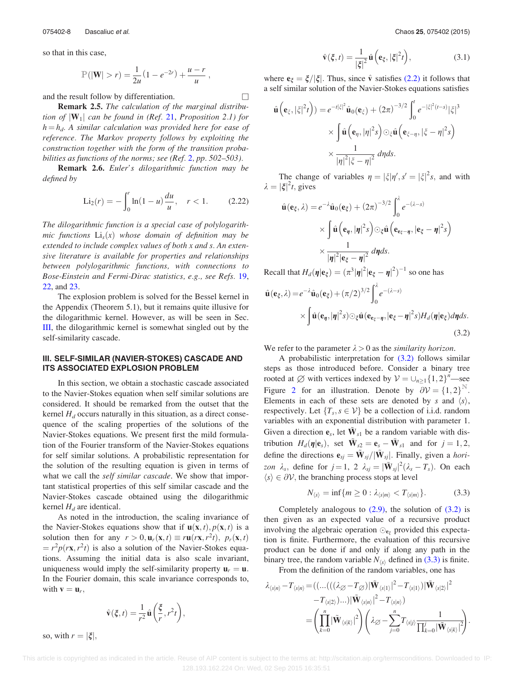<span id="page-8-0"></span>so that in this case,

$$
\mathbb{P}(|\mathbf{W}| > r) = \frac{1}{2u}(1 - e^{-2r}) + \frac{u - r}{u},
$$

 $\Box$ 

and the result follow by differentiation.

Remark 2.5. The calculation of the marginal distribution of  $|\mathbf{W}_1|$  can be found in (Ref. [21](#page-16-0), Proposition 2.1) for  $h = h_d$ . A similar calculation was provided here for ease of reference. The Markov property follows by exploiting the construction together with the form of the transition proba-bilities as functions of the norms; see (Ref. [2](#page-15-0), pp. 502–503).

Remark 2.6. Euler's dilogarithmic function may be defined by

$$
\text{Li}_2(r) = -\int_0^r \ln(1-u) \frac{du}{u}, \quad r < 1. \tag{2.22}
$$

The dilogarithmic function is a special case of polylogarithmic functions  $Li_s(x)$  whose domain of definition may be extended to include complex values of both x and s. An extensive literature is available for properties and relationships between polylogarithmic functions, with connections to Bose-Einstein and Fermi-Dirac statistics, e.g., see Refs. [19](#page-16-0), [22](#page-16-0), and [23](#page-16-0).

The explosion problem is solved for the Bessel kernel in the Appendix (Theorem 5.1), but it remains quite illusive for the dilogarithmic kernel. However, as will be seen in Sec. III, the dilogarithmic kernel is somewhat singled out by the self-similarity cascade.

#### III. SELF-SIMILAR (NAVIER-STOKES) CASCADE AND ITS ASSOCIATED EXPLOSION PROBLEM

In this section, we obtain a stochastic cascade associated to the Navier-Stokes equation when self similar solutions are considered. It should be remarked from the outset that the kernel  $H_d$  occurs naturally in this situation, as a direct consequence of the scaling properties of the solutions of the Navier-Stokes equations. We present first the mild formulation of the Fourier transform of the Navier-Stokes equations for self similar solutions. A probabilistic representation for the solution of the resulting equation is given in terms of what we call the *self similar cascade*. We show that important statistical properties of this self similar cascade and the Navier-Stokes cascade obtained using the dilogarithmic kernel  $H_d$  are identical.

As noted in the introduction, the scaling invariance of the Navier-Stokes equations show that if  $\mathbf{u}(\mathbf{x}, t)$ ,  $p(\mathbf{x}, t)$  is a solution then for any  $r > 0$ ,  $\mathbf{u}_r(\mathbf{x}, t) \equiv r\mathbf{u}(r\mathbf{x}, r^2t)$ ,  $p_r(\mathbf{x}, t)$  $= r^2 p(rx, r^2t)$  is also a solution of the Navier-Stokes equations. Assuming the initial data is also scale invariant, uniqueness would imply the self-similarity property  $\mathbf{u}_r = \mathbf{u}$ . In the Fourier domain, this scale invariance corresponds to, with  $\mathbf{v} = \mathbf{u}_r$ ,

$$
\hat{\mathbf{v}}(\xi, t) = \frac{1}{r^2} \hat{\mathbf{u}}\left(\frac{\xi}{r}, r^2 t\right),
$$

so, with  $r = |\xi|$ ,

$$
\hat{\mathbf{v}}(\xi, t) = \frac{1}{|\xi|^2} \hat{\mathbf{u}}\left(\mathbf{e}_{\xi}, |\xi|^2 t\right),\tag{3.1}
$$

where  $e_{\xi} = \xi/|\xi|$ . Thus, since  $\hat{v}$  satisfies [\(2.2\)](#page-4-0) it follows that a self similar solution of the Navier-Stokes equations satisfies

$$
\hat{\mathbf{u}}\left(\mathbf{e}_{\xi},|\xi|^2 t\right)) = e^{-t|\xi|^2} \hat{\mathbf{u}}_0(\mathbf{e}_{\xi}) + (2\pi)^{-3/2} \int_0^t e^{-|\xi|^2 (t-s)} |\xi|^3
$$

$$
\times \int \hat{\mathbf{u}}\left(\mathbf{e}_{\eta},|\eta|^2 s\right) \odot_{\xi} \hat{\mathbf{u}}\left(\mathbf{e}_{\xi-\eta},|\xi-\eta|^2 s\right)
$$

$$
\times \frac{1}{|\eta|^2 |\xi-\eta|^2} d\eta ds.
$$

The change of variables  $\eta = |\xi|\eta', s' = |\xi|^2 s$ , and with  $\lambda = |\xi|^2 t$ , gives

$$
\hat{\mathbf{u}}(\mathbf{e}_{\xi}, \lambda) = e^{-\lambda} \hat{\mathbf{u}}_0(\mathbf{e}_{\xi}) + (2\pi)^{-3/2} \int_0^{\lambda} e^{-(\lambda - s)} \times \int \hat{\mathbf{u}} (\mathbf{e}_{\eta}, |\eta|^2 s) \odot_{\xi} \hat{\mathbf{u}} (\mathbf{e}_{\mathbf{e}_{\xi} - \eta}, |\mathbf{e}_{\xi} - \eta|^2 s) \times \frac{1}{|\eta|^2 |\mathbf{e}_{\xi} - \eta|^2} d\eta ds.
$$

Recall that  $H_d(\boldsymbol{\eta}|\mathbf{e}_{\xi}) = (\pi^3|\boldsymbol{\eta}|^2|\mathbf{e}_{\xi} - \boldsymbol{\eta}|^2)^{-1}$  so one has

$$
\hat{\mathbf{u}}(\mathbf{e}_{\xi},\lambda) = e^{-\lambda}\hat{\mathbf{u}}_{0}(\mathbf{e}_{\xi}) + (\pi/2)^{3/2} \int_{0}^{\lambda} e^{-(\lambda-s)} \times \int \hat{\mathbf{u}}(\mathbf{e}_{\eta},|\eta|^{2}s) \odot_{\xi} \hat{\mathbf{u}}(\mathbf{e}_{\mathbf{e}_{\xi}-\eta},|\mathbf{e}_{\xi}-\eta|^{2}s) H_{d}(\eta|\mathbf{e}_{\xi}) d\eta ds.
$$
\n(3.2)

We refer to the parameter  $\lambda > 0$  as the *similarity horizon*.

A probabilistic interpretation for (3.2) follows similar steps as those introduced before. Consider a binary tree rooted at  $\emptyset$  with vertices indexed by  $V = \bigcup_{n \geq 1} \{1, 2\}^n$ —see Figure [2](#page-9-0) for an illustration. Denote by  $\partial V = \{1, 2\}^{\mathbb{N}}$ . Elements in each of these sets are denoted by s and  $\langle s \rangle$ , respectively. Let  $\{T_s, s \in \mathcal{V}\}\$ be a collection of i.i.d. random variables with an exponential distribution with parameter 1. Given a direction  $e_s$ , let  $W_{s1}$  be a random variable with distribution  $H_d(\eta | \mathbf{e}_s)$ , set  $\mathbf{W}_{s2} = \mathbf{e}_s - \mathbf{W}_{s1}$  and for  $j = 1, 2$ , define the directions  ${\bf e}_{si}={\bf \hat W}_{si}/|{\bf \hat W}_{si}|$ . Finally, given a *hori*zon  $\lambda_s$ , define for  $j=1$ , 2  $\lambda_{sj} = |\tilde{\mathbf{W}}_{sj}|^2 (\lambda_s - T_s)$ . On each  $\langle s \rangle \in \partial V$ , the branching process stops at level

$$
N_{\langle s \rangle} = \inf \{ m \ge 0 : \lambda_{\langle s | m \rangle} < T_{\langle s | m \rangle} \}. \tag{3.3}
$$

Completely analogous to  $(2.9)$ , the solution of  $(3.2)$  is then given as an expected value of a recursive product involving the algebraic operation  $\odot_{e_{\xi}}$  provided this expectation is finite. Furthermore, the evaluation of this recursive product can be done if and only if along any path in the binary tree, the random variable  $N_{\langle s \rangle}$  defined in (3.3) is finite.

From the definition of the random variables, one has

$$
\lambda_{\langle s|n\rangle} - T_{\langle s|n\rangle} = ((...(((\lambda_{\emptyset} - T_{\emptyset})|\tilde{\mathbf{W}}_{\langle s|1\rangle}|^2 - T_{\langle s|1\rangle})|\tilde{\mathbf{W}}_{\langle s|2\rangle}|^2 \n- T_{\langle s|2\rangle})...)|\tilde{\mathbf{W}}_{\langle s|n\rangle}|^2 - T_{\langle s|n\rangle}) \n= \left(\prod_{k=0}^n |\tilde{\mathbf{W}}_{\langle s|k\rangle}|^2\right) \left(\lambda_{\emptyset} - \sum_{j=0}^n T_{\langle s|j\rangle}\frac{1}{\prod_{k=0}^j |\tilde{\mathbf{W}}_{\langle s|k\rangle}|^2}\right)
$$

: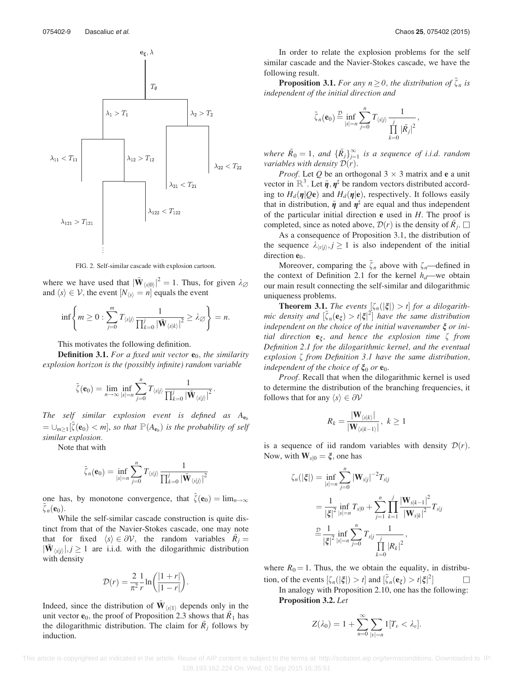<span id="page-9-0"></span>

FIG. 2. Self-similar cascade with explosion cartoon.

where we have used that  $|\tilde{W}_{(s|0)}|^2 = 1$ . Thus, for given  $\lambda_{\emptyset}$ and  $\langle s \rangle \in \mathcal{V}$ , the event  $[N_{\langle s \rangle} = n]$  equals the event

$$
\inf \left\{ m \geq 0 : \sum_{j=0}^{m} T_{\langle s | j \rangle} \frac{1}{\prod_{k=0}^{j} |\tilde{\mathbf{W}}_{\langle s | k \rangle}|^2} \geq \lambda_{\emptyset} \right\} = n.
$$

This motivates the following definition.

**Definition 3.1.** For a fixed unit vector  $e_0$ , the similarity explosion horizon is the (possibly infinite) random variable

$$
\tilde{\zeta}(\mathbf{e}_0) = \lim_{n \to \infty} \inf_{|s|=n} \sum_{j=0}^n T_{\langle s|j\rangle} \frac{1}{\prod_{k=0}^j |\tilde{\mathbf{W}}_{\langle s|j\rangle}|^2}.
$$

The self similar explosion event is defined as  $A_{e_0}$  $=\cup_{m\geq 1}[\tilde{\zeta}(\mathbf{e}_0)< m]$ , so that  $\mathbb{P}(A_{\mathbf{e}_0})$  is the probability of self similar explosion.

Note that with

$$
\tilde{\zeta}_n(\mathbf{e}_0) = \inf_{|s|=n} \sum_{j=0}^n T_{\langle s|j\rangle} \frac{1}{\prod_{k=0}^j |\tilde{\mathbf{W}}_{\langle s|j\rangle}|^2}
$$

one has, by monotone convergence, that  $\zeta(\mathbf{e}_0) = \lim_{n \to \infty}$  $\zeta_n(\mathbf{e}_0).$ 

While the self-similar cascade construction is quite distinct from that of the Navier-Stokes cascade, one may note that for fixed  $\langle s \rangle \in \partial V$ , the random variables  $\tilde{R}_j =$  $|\tilde{W}_{\langle s|j\rangle}|, j \ge 1$  are i.i.d. with the dilogarithmic distribution with density

$$
\mathcal{D}(r) = \frac{2}{\pi^2} \frac{1}{r} \ln \left( \frac{|1+r|}{|1-r|} \right).
$$

Indeed, since the distribution of  $\tilde{\mathbf{W}}_{\langle s|1\rangle}$  depends only in the unit vector  $e_0$ , the proof of Proposition 2.3 shows that  $\hat{R}_1$  has the dilogarithmic distribution. The claim for  $R_j$  follows by induction.

In order to relate the explosion problems for the self similar cascade and the Navier-Stokes cascade, we have the following result.

**Proposition 3.1.** For any  $n \ge 0$ , the distribution of  $\tilde{\zeta}_n$  is independent of the initial direction and

$$
\tilde{\zeta}_n(\mathbf{e}_0) \stackrel{\mathcal{D}}{=} \inf_{|s|=n} \sum_{j=0}^n T_{\langle s|j\rangle} \frac{1}{\prod_{k=0}^j |\tilde{R}_j|^2},
$$

where  $\tilde{R}_0 = 1$ , and  $\{\tilde{R}_j\}_{j=1}^{\infty}$  is a sequence of i.i.d. random variables with density  $\mathcal{D}(r)$ .

*Proof.* Let Q be an orthogonal  $3 \times 3$  matrix and e a unit vector in  $\mathbb{R}^3$ . Let  $\tilde{\eta}, \eta^{\sharp}$  be random vectors distributed according to  $H_d(\eta|Qe)$  and  $H_d(\eta|e)$ , respectively. It follows easily that in distribution,  $\tilde{\eta}$  and  $\eta^{\sharp}$  are equal and thus independent of the particular initial direction  $e$  used in  $H$ . The proof is completed, since as noted above,  $\mathcal{D}(r)$  is the density of  $\tilde{R}_{j}$ .

As a consequence of Proposition 3.1, the distribution of the sequence  $\lambda_{\langle v|j\rangle}, j \ge 1$  is also independent of the initial direction  $e_0$ .

Moreover, comparing the  $\tilde{\zeta}_n$  above with  $\zeta_n$ —defined in the context of Definition 2.1 for the kernel  $h_d$ —we obtain our main result connecting the self-similar and dilogarithmic uniqueness problems.

**Theorem 3.1.** The events  $[\zeta_n(|\xi|) > t]$  for a dilogarithmic density and  $\left[\zeta_n(\mathbf{e}_{\xi}) > t|\xi|^2\right]$  have the same distribution independent on the choice of the initial wavenumber  $\xi$  or initial direction  $e_{\xi}$ , and hence the explosion time  $\zeta$  from Definition 2.1 for the dilogarithmic kernel, and the eventual explosion  $\zeta$  from Definition 3.1 have the same distribution, independent of the choice of  $\xi_0$  or  $\mathbf{e}_0$ .

Proof. Recall that when the dilogarithmic kernel is used to determine the distribution of the branching frequencies, it follows that for any  $\langle s \rangle \in \partial V$ 

$$
R_k = \frac{|\mathbf{W}_{\langle s|k\rangle}|}{|\mathbf{W}_{\langle s|k-1\rangle}|}, \ k \ge 1
$$

is a sequence of iid random variables with density  $\mathcal{D}(r)$ . Now, with  $W_{s|0} = \xi$ , one has

$$
\zeta_n(|\xi|) = \inf_{|s|=n} \sum_{j=0}^n |\mathbf{W}_{sj}|^{-2} T_{sj}
$$
  
=  $\frac{1}{|\xi|^2} \inf_{|s|=n} T_{s|0} + \sum_{j=1}^n \prod_{k=1}^j \frac{|\mathbf{W}_{s|k-1}|^2}{|\mathbf{W}_{s|k}|^2} T_{sj}$   

$$
\stackrel{\text{D}}{=} \frac{1}{|\xi|^2} \inf_{|s|=n} \sum_{j=0}^n T_{sjj} \frac{1}{\prod_{k=0}^j |R_k|^2},
$$

where  $R_0 = 1$ . Thus, the we obtain the equality, in distribution, of the events  $[\zeta_n(|\xi|) > t]$  and  $[\tilde{\zeta}_n(\mathbf{e}_{\xi}) > t|\xi|^2$  $\Box$ 

In analogy with Proposition 2.10, one has the following: Proposition 3.2. Let

$$
Z(\lambda_0)=1+\sum_{n=0}^{\infty}\sum_{|v|=n}1[T_v<\lambda_v].
$$

This article is copyrighted as indicated in the article. Reuse of AIP content is subject to the terms at: http://scitation.aip.org/termsconditions. Downloaded to IP: 128.193.162.224 On: Wed, 02 Sep 2015 16:35:51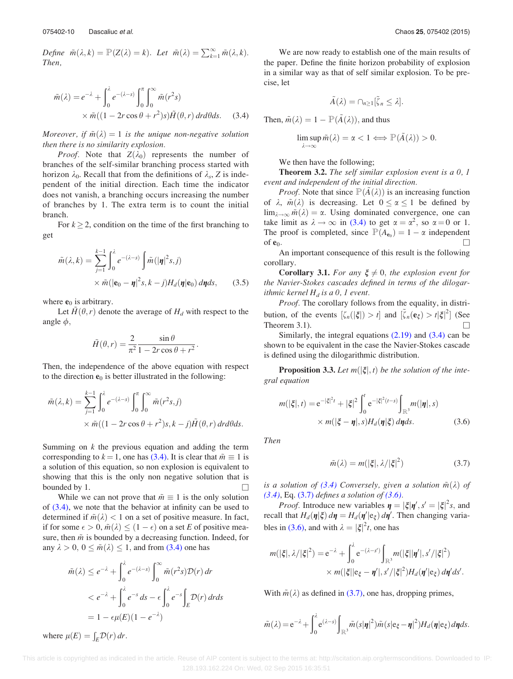<span id="page-10-0"></span>Define  $\tilde{m}(\lambda, k) = \mathbb{P}(Z(\lambda) = k)$ . Let  $\tilde{m}(\lambda) = \sum_{k=1}^{\infty} \tilde{m}(\lambda, k)$ . Then,

$$
\tilde{m}(\lambda) = e^{-\lambda} + \int_0^{\lambda} e^{-(\lambda - s)} \int_0^{\pi} \int_0^{\infty} \tilde{m}(r^2 s) \times \tilde{m}((1 - 2r \cos \theta + r^2)s) \tilde{H}(\theta, r) dr d\theta ds.
$$
 (3.4)

Moreover, if  $\tilde{m}(\lambda) = 1$  is the unique non-negative solution then there is no similarity explosion.

*Proof.* Note that  $Z(\lambda_0)$  represents the number of branches of the self-similar branching process started with horizon  $\lambda_0$ . Recall that from the definitions of  $\lambda_s$ , Z is independent of the initial direction. Each time the indicator does not vanish, a branching occurs increasing the number of branches by 1. The extra term is to count the initial branch.

For  $k \geq 2$ , condition on the time of the first branching to get

$$
\tilde{m}(\lambda, k) = \sum_{j=1}^{k-1} \int_0^{\lambda} e^{-(\lambda - s)} \int \tilde{m}(|\eta|^2 s, j) \times \tilde{m}(|\mathbf{e}_0 - \eta|^2 s, k - j) H_d(\eta | \mathbf{e}_0) d\eta ds, \qquad (3.5)
$$

where  $e_0$  is arbitrary.

Let  $H(\theta,r)$  denote the average of  $H_d$  with respect to the angle  $\phi$ ,

$$
\tilde{H}(\theta, r) = \frac{2}{\pi^2} \frac{\sin \theta}{1 - 2r \cos \theta + r^2}.
$$

Then, the independence of the above equation with respect to the direction  $e_0$  is better illustrated in the following:

$$
\tilde{m}(\lambda, k) = \sum_{j=1}^{k-1} \int_0^{\lambda} e^{-(\lambda - s)} \int_0^{\pi} \int_0^{\infty} \tilde{m}(r^2 s, j) \times \tilde{m}((1 - 2r \cos \theta + r^2)s, k - j)\tilde{H}(\theta, r) dr d\theta ds.
$$

Summing on  $k$  the previous equation and adding the term corresponding to  $k = 1$ , one has (3.4). It is clear that  $\tilde{m} \equiv 1$  is a solution of this equation, so non explosion is equivalent to showing that this is the only non negative solution that is bounded by 1.  $\Box$ 

While we can not prove that  $\tilde{m} \equiv 1$  is the only solution of (3.4), we note that the behavior at infinity can be used to determined if  $\tilde{m}(\lambda) < 1$  on a set of positive measure. In fact, if for some  $\epsilon > 0$ ,  $\tilde{m}(\lambda) \leq (1 - \epsilon)$  on a set E of positive measure, then  $\tilde{m}$  is bounded by a decreasing function. Indeed, for any  $\lambda > 0$ ,  $0 \leq \tilde{m}(\lambda) \leq 1$ , and from (3.4) one has

$$
\tilde{m}(\lambda) \le e^{-\lambda} + \int_0^{\lambda} e^{-(\lambda - s)} \int_0^{\infty} \tilde{m}(r^2 s) \mathcal{D}(r) dr
$$
  

$$
< e^{-\lambda} + \int_0^{\lambda} e^{-s} ds - \epsilon \int_0^{\lambda} e^{-s} \int_E \mathcal{D}(r) dr ds
$$
  

$$
= 1 - \epsilon \mu(E) (1 - e^{-\lambda})
$$

We are now ready to establish one of the main results of the paper. Define the finite horizon probability of explosion in a similar way as that of self similar explosion. To be precise, let

$$
\tilde{A}(\lambda) = \bigcap_{n \geq 1} [\tilde{\zeta}_n \leq \lambda].
$$

Then,  $\tilde{m}(\lambda) = 1 - \mathbb{P}(\tilde{A}(\lambda))$ , and thus

$$
\limsup_{\lambda \to \infty} \tilde{m}(\lambda) = \alpha < 1 \Longleftrightarrow \mathbb{P}(\tilde{A}(\lambda)) > 0.
$$

We then have the following;

**Theorem 3.2.** The self similar explosion event is a  $0, 1$ event and independent of the initial direction.

*Proof.* Note that since  $\mathbb{P}(\hat{A}(\lambda))$  is an increasing function of  $\lambda$ ,  $\tilde{m}(\lambda)$  is decreasing. Let  $0 \le \alpha \le 1$  be defined by  $\lim_{\lambda \to \infty} \tilde{m}(\lambda) = \alpha$ . Using dominated convergence, one can take limit as  $\lambda \to \infty$  in (3.4) to get  $\alpha = \alpha^2$ , so  $\alpha = 0$  or 1. The proof is completed, since  $\mathbb{P}(A_{e_0}) = 1 - \alpha$  independent of  $e_0$ .

An important consequence of this result is the following corollary.

**Corollary 3.1.** For any  $\xi \neq 0$ , the explosion event for the Navier-Stokes cascades defined in terms of the dilogarithmic kernel  $H_d$  is a 0, 1 event.

Proof. The corollary follows from the equality, in distribution, of the events  $[\zeta_n(|\xi|) > t]$  and  $[\tilde{\zeta}_n(\mathbf{e}_{\xi}) > t|\xi|^2]$  (See Theorem 3.1).

Similarly, the integral equations  $(2.19)$  and  $(3.4)$  can be shown to be equivalent in the case the Navier-Stokes cascade is defined using the dilogarithmic distribution.

**Proposition 3.3.** Let  $m(|\xi|, t)$  be the solution of the integral equation

$$
m(|\xi|,t) = e^{-|\xi|^2 t} + |\xi|^2 \int_0^t e^{-|\xi|^2 (t-s)} \int_{\mathbb{R}^3} m(|\eta|,s)
$$
  
 
$$
\times m(|\xi - \eta|,s) H_d(\eta|\xi) \,d\eta ds. \tag{3.6}
$$

Then

$$
\tilde{m}(\lambda) = m(|\xi|, \lambda/|\xi|^2)
$$
\n(3.7)

is a solution of (3.4) Conversely, given a solution  $\tilde{m}(\lambda)$  of  $(3.4)$ , Eq.  $(3.7)$  defines a solution of  $(3.6)$ .

*Proof.* Introduce new variables  $\eta = |\xi| \eta', s' = |\xi|^2 s$ , and recall that  $H_d(\eta|\xi) d\eta = H_d(\eta'|\mathbf{e}_{\xi}) d\eta'$ . Then changing variables in (3.6), and with  $\lambda = |\xi|^2 t$ , one has

$$
m(|\xi|, \lambda/|\xi|^2) = e^{-\lambda} + \int_0^{\lambda} e^{-(\lambda - s')} \int_{\mathbb{R}^3} m(|\xi||\eta'|, s'/|\xi|^2) \times m(|\xi||e_{\xi} - \eta'|, s'/|\xi|^2) H_d(\eta'|e_{\xi}) d\eta' ds'.
$$

With  $\tilde{m}(\lambda)$  as defined in (3.7), one has, dropping primes,

$$
\tilde{m}(\lambda) = e^{-\lambda} + \int_0^{\lambda} e^{(\lambda-s)} \int_{\mathbb{R}^3} \tilde{m}(s|\pmb{\eta}|^2) \tilde{m}(s|e_{\xi} - \pmb{\eta}|^2) H_d(\pmb{\eta}|e_{\xi}) d\pmb{\eta} ds.
$$

where  $\mu(E) = \int_E \mathcal{D}(r) dr$ .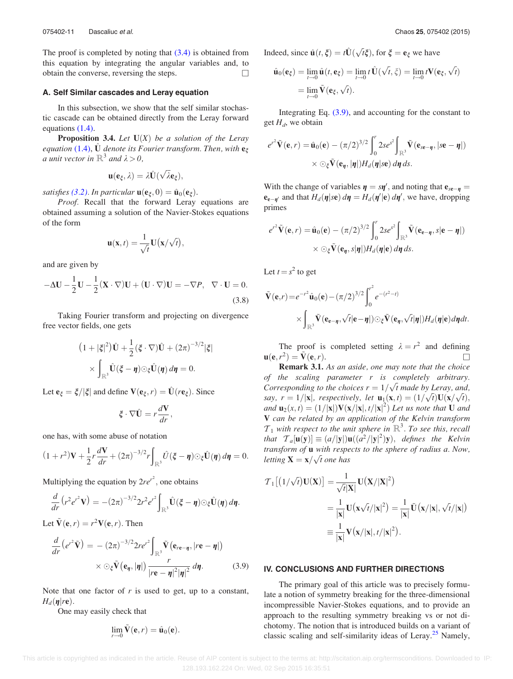<span id="page-11-0"></span>The proof is completed by noting that  $(3.4)$  is obtained from this equation by integrating the angular variables and, to obtain the converse, reversing the steps.  $\Box$ 

#### A. Self Similar cascades and Leray equation

In this subsection, we show that the self similar stochastic cascade can be obtained directly from the Leray forward equations [\(1.4\)](#page-2-0).

**Proposition 3.4.** Let  $U(X)$  be a solution of the Leray equation [\(1.4\),](#page-2-0)  $\hat{U}$  denote its Fourier transform. Then, with  $e_{\xi}$ a unit vector in  $\mathbb{R}^3$  and  $\lambda > 0$ ,

$$
u(e_\xi,\lambda)=\lambda \hat{U}(\sqrt{\lambda}e_\xi),
$$

satisfies [\(3.2\)](#page-8-0). In particular  $\mathbf{u}(\mathbf{e}_{\xi}, 0) = \hat{\mathbf{u}}_0(\mathbf{e}_{\xi}).$ 

Proof. Recall that the forward Leray equations are obtained assuming a solution of the Navier-Stokes equations of the form

$$
\mathbf{u}(\mathbf{x},t) = \frac{1}{\sqrt{t}} \mathbf{U}(\mathbf{x}/\sqrt{t}),
$$

and are given by

$$
-\Delta U - \frac{1}{2}U - \frac{1}{2}(X \cdot \nabla)U + (U \cdot \nabla)U = -\nabla P, \quad \nabla \cdot U = 0.
$$
\n(3.8)

Taking Fourier transform and projecting on divergence free vector fields, one gets

$$
(1+|\xi|^2)\hat{\mathbf{U}} + \frac{1}{2}(\xi \cdot \nabla)\hat{\mathbf{U}} + (2\pi)^{-3/2}|\xi|
$$

$$
\times \int_{\mathbb{R}^3} \hat{\mathbf{U}}(\xi - \eta) \odot_{\xi} \hat{\mathbf{U}}(\eta) d\eta = 0.
$$

Let  $e_{\xi} = \xi/|\xi|$  and define  $V(e_{\xi},r) = \hat{U}(r e_{\xi})$ . Since

$$
\xi \cdot \nabla \hat{\mathbf{U}} = r \frac{d\mathbf{V}}{dr},
$$

one has, with some abuse of notation

$$
(1+r^2)\mathbf{V}+\frac{1}{2}r\frac{d\mathbf{V}}{dr}+(2\pi)^{-3/2}r\int_{\mathbb{R}^3}\hat{U}(\boldsymbol{\xi}-\boldsymbol{\eta})\odot_{\boldsymbol{\xi}}\hat{\mathbf{U}}(\boldsymbol{\eta})\,d\boldsymbol{\eta}=0.
$$

Multiplying the equation by  $2re^{r^2}$ , one obtains

$$
\frac{d}{dr}\left(r^2e^{r^2}\mathbf{V}\right) = -(2\pi)^{-3/2}2r^2e^{r^2}\int_{\mathbb{R}^3}\hat{\mathbf{U}}(\boldsymbol{\xi}-\boldsymbol{\eta})\odot_{\boldsymbol{\xi}}\hat{\mathbf{U}}(\boldsymbol{\eta})\,d\boldsymbol{\eta}.
$$

Let  $\tilde{V}(\mathbf{e},r)=r^2V(\mathbf{e},r)$ . Then

$$
\frac{d}{dr}\left(e^{r^2}\tilde{\mathbf{V}}\right) = -(2\pi)^{-3/2}2re^{r^2}\int_{\mathbb{R}^3}\tilde{\mathbf{V}}\left(\mathbf{e}_{r\mathbf{e}-\boldsymbol{\eta}},|r\mathbf{e}-\boldsymbol{\eta}|\right)
$$

$$
\times \odot_{\xi}\tilde{\mathbf{V}}\left(\mathbf{e}_{\boldsymbol{\eta}},|\boldsymbol{\eta}|\right)\frac{r}{|r\mathbf{e}-\boldsymbol{\eta}|^2|\boldsymbol{\eta}|^2}d\boldsymbol{\eta}.\tag{3.9}
$$

Note that one factor of  $r$  is used to get, up to a constant,  $H_d(\eta|r\mathbf{e})$ .

One may easily check that

$$
\lim_{r\to 0}\tilde{\mathbf{V}}(\mathbf{e},r)=\hat{\mathbf{u}}_0(\mathbf{e}).
$$

Indeed, since  $\hat{\mathbf{u}}(t, \xi) = t\hat{\mathbf{U}}(\sqrt{t}\xi)$ , for  $\xi = \mathbf{e}_{\xi}$  we have

$$
\hat{\mathbf{u}}_0(\mathbf{e}_{\xi}) = \lim_{t \to 0} \hat{\mathbf{u}}(t, \mathbf{e}_{\xi}) = \lim_{t \to 0} t \hat{\mathbf{U}}(\sqrt{t}, \xi) = \lim_{t \to 0} t \mathbf{V}(\mathbf{e}_{\xi}, \sqrt{t})
$$

$$
= \lim_{t \to 0} \tilde{\mathbf{V}}(\mathbf{e}_{\xi}, \sqrt{t}).
$$

Integrating Eq. (3.9), and accounting for the constant to get  $H_d$ , we obtain

$$
e^{r^2}\tilde{\mathbf{V}}(\mathbf{e},r) = \hat{\mathbf{u}}_0(\mathbf{e}) - (\pi/2)^{3/2} \int_0^r 2se^{s^2} \int_{\mathbb{R}^3} \tilde{\mathbf{V}}(\mathbf{e}_{s\mathbf{e}-\mathbf{\eta}}, |s\mathbf{e}-\mathbf{\eta}|)
$$
  
×  $\bigcirc_{\xi} \tilde{\mathbf{V}}(\mathbf{e}_{\mathbf{\eta}}, |\mathbf{\eta}|) H_d(\mathbf{\eta}|s\mathbf{e}) d\mathbf{\eta} ds.$ 

With the change of variables  $\eta = s\eta'$ , and noting that  $e_{se-\eta} =$  $e_{\mathbf{e}-\mathbf{y}'}$  and that  $H_d(\mathbf{\eta}|\mathbf{s}\mathbf{e}) d\mathbf{\eta} = H_d(\mathbf{\eta}'|\mathbf{e}) d\mathbf{\eta}'$ , we have, dropping primes

$$
e^{r^2}\tilde{\mathbf{V}}(\mathbf{e},r) = \hat{\mathbf{u}}_0(\mathbf{e}) - (\pi/2)^{3/2} \int_0^r 2se^{s^2} \int_{\mathbb{R}^3} \tilde{\mathbf{V}}(\mathbf{e}_{\mathbf{e}-\mathbf{\eta}},s|\mathbf{e}-\mathbf{\eta}|)
$$

$$
\times \odot_{\xi} \tilde{\mathbf{V}}(\mathbf{e}_{\mathbf{\eta}},s|\mathbf{\eta}|) H_d(\mathbf{\eta}|\mathbf{e}) d\mathbf{\eta} ds.
$$

Let  $t = s^2$  to get

$$
\tilde{\mathbf{V}}(\mathbf{e},r) = e^{-r^2} \hat{\mathbf{u}}_0(\mathbf{e}) - (\pi/2)^{3/2} \int_0^{r^2} e^{-(r^2-t)} \times \int_{\mathbb{R}^3} \tilde{\mathbf{V}}(\mathbf{e}_{\mathbf{e}-\mathbf{\eta}}, \sqrt{t} |\mathbf{e}-\mathbf{\eta}|) \odot_{\xi} \tilde{\mathbf{V}}(\mathbf{e}_{\mathbf{\eta}}, \sqrt{t} |\mathbf{\eta}|) H_d(\mathbf{\eta}|\mathbf{e}) d\mathbf{\eta} dt.
$$

The proof is completed setting  $\lambda = r^2$  and defining  $u(e, r^2) = \tilde{V}(e, r)$ .

Remark 3.1. As an aside, one may note that the choice of the scaling parameter r is completely arbitrary.  $\omega$  are scaling parameter to the completely arbitrary.<br>Corresponding to the choices  $r = 1/\sqrt{t}$  made by Leray, and, say,  $r = 1/|\mathbf{x}|$ , respectively, let  $\mathbf{u}_1(\mathbf{x}, t) = (1/\sqrt{t})\mathbf{U}(\mathbf{x}/\sqrt{t}),$ and  $\mathbf{u}_2(x,t) = (1/|\mathbf{x}|)\mathbf{V}(\mathbf{x}/|\mathbf{x}|, t/|\mathbf{x}|^2)$  Let us note that U and V can be related by an application of the Kelvin transform  ${\cal T}_1$  with respect to the unit sphere in  $\mathbb{R}^3$ . To see this, recall that  $\mathcal{T}_a[\mathbf{u}(\mathbf{y})] \equiv (a/|\mathbf{y}|)\mathbf{u}((a^2/|\mathbf{y}|^2)\mathbf{y}),$  defines the Kelvin transform of u with respects to the sphere of radius a. Now, transform of **u** with respe $l$ etting **X** = **x** $/\sqrt{t}$  one has

$$
\mathcal{T}_1[(1/\sqrt{t})\mathbf{U}(\mathbf{X})] = \frac{1}{\sqrt{t}|\mathbf{X}|}\mathbf{U}(\mathbf{X}/|\mathbf{X}|^2)
$$
  
=  $\frac{1}{|\mathbf{x}|}\mathbf{U}(\mathbf{x}\sqrt{t}/|\mathbf{x}|^2) = \frac{1}{|\mathbf{x}|}\tilde{\mathbf{U}}(\mathbf{x}/|\mathbf{x}|, \sqrt{t}/|\mathbf{x}|)$   
=  $\frac{1}{|\mathbf{x}|}\mathbf{V}(\mathbf{x}/|\mathbf{x}|, t/|\mathbf{x}|^2).$ 

#### IV. CONCLUSIONS AND FURTHER DIRECTIONS

The primary goal of this article was to precisely formulate a notion of symmetry breaking for the three-dimensional incompressible Navier-Stokes equations, and to provide an approach to the resulting symmetry breaking vs or not dichotomy. The notion that is introduced builds on a variant of classic scaling and self-similarity ideas of Leray.<sup>[25](#page-16-0)</sup> Namely,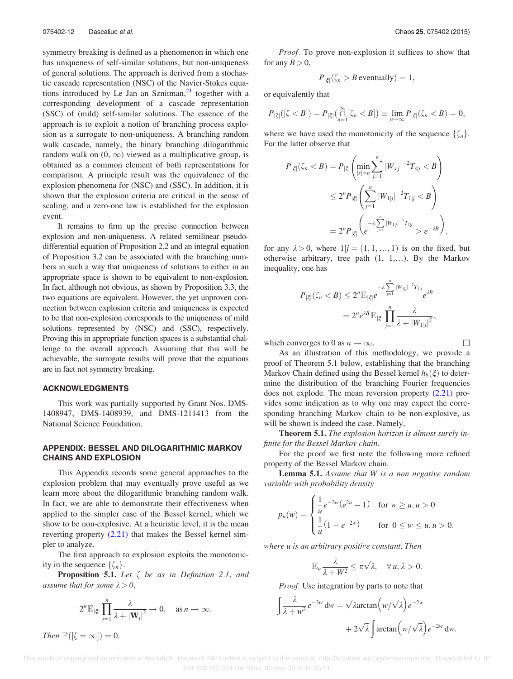symmetry breaking is defined as a phenomenon in which one has uniqueness of self-similar solutions, but non-uniqueness of general solutions. The approach is derived from a stochastic cascade representation (NSC) of the Navier-Stokes equations introduced by Le Jan an Sznitman, $2<sup>1</sup>$  together with a corresponding development of a cascade representation (SSC) of (mild) self-similar solutions. The essence of the approach is to exploit a notion of branching process explosion as a surrogate to non-uniqueness. A branching random walk cascade, namely, the binary branching dilogarithmic random walk on  $(0, \infty)$  viewed as a multiplicative group, is obtained as a common element of both representations for comparison. A principle result was the equivalence of the explosion phenomena for (NSC) and (SSC). In addition, it is shown that the explosion criteria are critical in the sense of scaling, and a zero-one law is established for the explosion event.

It remains to firm up the precise connection between explosion and non-uniqueness. A related semilinear pseudodifferential equation of Proposition 2.2 and an integral equation of Proposition 3.2 can be associated with the branching numbers in such a way that uniqueness of solutions to either in an appropriate space is shown to be equivalent to non-explosion. In fact, although not obvious, as shown by Proposition 3.3, the two equations are equivalent. However, the yet unproven connection between explosion criteria and uniqueness is expected to be that non-explosion corresponds to the uniqueness of mild solutions represented by (NSC) and (SSC), respectively. Proving this in appropriate function spaces is a substantial challenge to the overall approach. Assuming that this will be achievable, the surrogate results will prove that the equations are in fact not symmetry breaking.

#### ACKNOWLEDGMENTS

This work was partially supported by Grant Nos. DMS-1408947, DMS-1408939, and DMS-1211413 from the National Science Foundation.

#### APPENDIX: BESSEL AND DILOGARITHMIC MARKOV CHAINS AND EXPLOSION

This Appendix records some general approaches to the explosion problem that may eventually prove useful as we learn more about the dilogarithmic branching random walk. In fact, we are able to demonstrate their effectiveness when applied to the simpler case of the Bessel kernel, which we show to be non-explosive. At a heuristic level, it is the mean reverting property [\(2.21\)](#page-7-0) that makes the Bessel kernel simpler to analyze.

The first approach to explosion exploits the monotonicity in the sequence  $\{\zeta_n\}.$ 

**Proposition 5.1.** Let  $\zeta$  be as in Definition 2.1, and assume that for some  $\lambda > 0$ ,

$$
2^n \mathbb{E}_{|\xi|} \prod_{j=1}^n \frac{\lambda}{\lambda + |\mathbf{W}_j|^2} \to 0, \quad \text{as } n \to \infty.
$$

Then  $\mathbb{P}(\lbrack \zeta = \infty \rbrack) = 0.$ 

Proof. To prove non-explosion it suffices to show that for any  $B > 0$ ,

$$
P_{|\xi|}(\zeta_n > B
$$
 eventually $) = 1$ ,

or equivalently that

$$
P_{|\xi|}([\zeta < B]) = P_{|\xi|}(\bigcap_{n=1}^{\infty} [\zeta_n < B]) \equiv \lim_{n \to \infty} P_{|\xi|}(\zeta_n < B) = 0,
$$

where we have used the monotonicity of the sequence  $\{\zeta_n\}.$ For the latter observe that

$$
P_{|\xi|}(\zeta_n < B) = P_{|\xi|} \left( \min_{|s|=n} \sum_{j=1}^n |W_{s|j}|^{-2} T_{s|j} < B \right)
$$
\n
$$
\leq 2^n P_{|\xi|} \left( \sum_{j=1}^n |W_{1|j}|^{-2} T_{1|j} < B \right)
$$
\n
$$
= 2^n P_{|\xi|} \left( e^{-\lambda \sum_{j=1}^n |W_{1|j}|^{-2} T_{1|j}} > e^{-\lambda B} \right),
$$

for any  $\lambda > 0$ , where  $1|j = (1, 1, \ldots, 1)$  is on the fixed, but otherwise arbitrary, tree path (1, 1,…). By the Markov inequality, one has

$$
P_{|\xi|}(\zeta_n < B) \le 2^n \mathbb{E}_{|\xi|} e^{-\lambda \sum_{j=1}^n |W_{1|j}|^{-2} T_{1|j}} e^{\lambda B}
$$
\n
$$
= 2^n e^{\lambda B} \mathbb{E}_{|\xi|} \prod_{j=1}^n \frac{\lambda}{\lambda + |W_{1|j}|^2},
$$

which converges to 0 as  $n \to \infty$ .

As an illustration of this methodology, we provide a proof of Theorem 5.1 below, establishing that the branching Markov Chain defined using the Bessel kernel  $h_b(\xi)$  to determine the distribution of the branching Fourier frequencies does not explode. The mean reversion property [\(2.21\)](#page-7-0) provides some indication as to why one may expect the corresponding branching Markov chain to be non-explosive, as will be shown is indeed the case. Namely,

Theorem 5.1. The explosion horizon is almost surely infinite for the Bessel Markov chain.

For the proof we first note the following more refined property of the Bessel Markov chain.

**Lemma 5.1.** Assume that  $W$  is a non negative random variable with probability density

$$
p_u(w) = \begin{cases} \frac{1}{u} e^{-2w} (e^{2u} - 1) & \text{for } w \ge u, u > 0 \\ \frac{1}{u} (1 - e^{-2w}) & \text{for } 0 \le w \le u, u > 0. \end{cases}
$$

where *u* is an arbitrary positive constant. Then

$$
\mathbb{E}_u \frac{\lambda}{\lambda + W^2} \leq \pi \sqrt{\lambda}, \quad \forall u, \lambda > 0.
$$

Proof. Use integration by parts to note that

$$
\int \frac{\lambda}{\lambda + w^2} e^{-2w} dw = \sqrt{\lambda} \arctan \left( w / \sqrt{\lambda} \right) e^{-2w} + 2\sqrt{\lambda} \int \arctan \left( w / \sqrt{\lambda} \right) e^{-2w} dw.
$$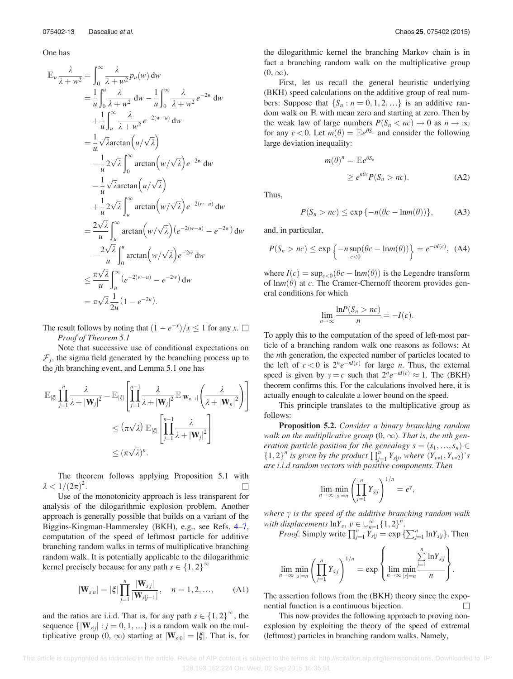One has

$$
\mathbb{E}_{u} \frac{\lambda}{\lambda + w^{2}} = \int_{0}^{\infty} \frac{\lambda}{\lambda + w^{2}} p_{u}(w) dw
$$
\n
$$
= \frac{1}{u} \int_{0}^{u} \frac{\lambda}{\lambda + w^{2}} dw - \frac{1}{u} \int_{0}^{\infty} \frac{\lambda}{\lambda + w^{2}} e^{-2w} dw
$$
\n
$$
+ \frac{1}{u} \int_{u}^{\infty} \frac{\lambda}{\lambda + w^{2}} e^{-2(w-u)} dw
$$
\n
$$
= \frac{1}{u} \sqrt{\lambda} \arctan(u/\sqrt{\lambda})
$$
\n
$$
- \frac{1}{u} 2\sqrt{\lambda} \int_{0}^{\infty} \arctan(w/\sqrt{\lambda}) e^{-2w} dw
$$
\n
$$
- \frac{1}{u} \sqrt{\lambda} \arctan(u/\sqrt{\lambda})
$$
\n
$$
+ \frac{1}{u} 2\sqrt{\lambda} \int_{u}^{\infty} \arctan(w/\sqrt{\lambda}) e^{-2(w-u)} dw
$$
\n
$$
= \frac{2\sqrt{\lambda}}{u} \int_{u}^{\infty} \arctan(w/\sqrt{\lambda}) (e^{-2(w-u)} - e^{-2w}) dw
$$
\n
$$
- \frac{2\sqrt{\lambda}}{u} \int_{u}^{u} \arctan(w/\sqrt{\lambda}) e^{-2w} dw
$$
\n
$$
\leq \frac{\pi \sqrt{\lambda}}{u} \int_{u}^{\infty} (e^{-2(w-u)} - e^{-2w}) dw
$$
\n
$$
= \pi \sqrt{\lambda} \frac{1}{2u} (1 - e^{-2u}).
$$

The result follows by noting that  $(1 - e^{-x})/x \leq 1$  for any  $x$ .  $\Box$ Proof of Theorem 5.1

Note that successive use of conditional expectations on  $\mathcal{F}_i$ , the sigma field generated by the branching process up to the jth branching event, and Lemma 5.1 one has

$$
\mathbb{E}_{|\xi|} \prod_{j=1}^{n} \frac{\lambda}{\lambda + |\mathbf{W}_{j}|^{2}} = \mathbb{E}_{|\xi|} \left[ \prod_{j=1}^{n-1} \frac{\lambda}{\lambda + |\mathbf{W}_{j}|^{2}} \mathbb{E}_{|\mathbf{W}_{n-1}|} \left( \frac{\lambda}{\lambda + |\mathbf{W}_{n}|^{2}} \right) \right]
$$
  
\n
$$
\leq (\pi \sqrt{\lambda}) \mathbb{E}_{|\xi|} \left[ \prod_{j=1}^{n-1} \frac{\lambda}{\lambda + |\mathbf{W}_{j}|^{2}} \right]
$$
  
\n
$$
\leq (\pi \sqrt{\lambda})^{n}.
$$

The theorem follows applying Proposition 5.1 with  $\lambda < 1/(2\pi)^2$  $\blacksquare$  $\Box$ 

Use of the monotonicity approach is less transparent for analysis of the dilogarithmic explosion problem. Another approach is generally possible that builds on a variant of the Biggins-Kingman-Hammersley (BKH), e.g., see Refs. [4–7](#page-15-0), computation of the speed of leftmost particle for additive branching random walks in terms of multiplicative branching random walk. It is potentially applicable to the dilogarithmic kernel precisely because for any path  $s \in \{1, 2\}^{\infty}$ 

$$
|\mathbf{W}_{s|n}| = |\xi| \prod_{j=1}^{n} \frac{|\mathbf{W}_{s|j}|}{|\mathbf{W}_{s|j-1}|}, \quad n = 1, 2, ..., \quad (A1)
$$

and the ratios are i.i.d. That is, for any path  $s \in \{1, 2\}^{\infty}$ , the sequence  $\{|\mathbf{W}_{sij}| : j = 0, 1, ...\}$  is a random walk on the multiplicative group  $(0, \infty)$  starting at  $|\mathbf{W}_{s|0}| = |\xi|$ . That is, for the dilogarithmic kernel the branching Markov chain is in fact a branching random walk on the multiplicative group  $(0, \infty)$ .

First, let us recall the general heuristic underlying (BKH) speed calculations on the additive group of real numbers: Suppose that  $\{S_n : n = 0, 1, 2, ...\}$  is an additive random walk on  $\mathbb R$  with mean zero and starting at zero. Then by the weak law of large numbers  $P(S_n < nc) \rightarrow 0$  as  $n \rightarrow \infty$ for any  $c < 0$ . Let  $m(\theta) = \mathbb{E}e^{\theta S_1}$  and consider the following large deviation inequality:

$$
m(\theta)^n = \mathbb{E}e^{\theta S_n}
$$
  
\n
$$
\geq e^{n\theta c}P(S_n > nc).
$$
 (A2)

Thus,

$$
P(S_n > nc) \le \exp\{-n(\theta c - \ln m(\theta))\},\tag{A3}
$$

and, in particular,

$$
P(S_n > nc) \le \exp\left\{-n \sup_{c < 0} (\theta c - \ln m(\theta))\right\} = e^{-nl(c)}, \tag{A4}
$$

where  $I(c) = \sup_{c \leq 0} (\theta_c - \ln m(\theta))$  is the Legendre transform of  $\text{ln}m(\theta)$  at c. The Cramer-Chernoff theorem provides general conditions for which

$$
\lim_{n\to\infty}\frac{\ln P(S_n > nc)}{n} = -I(c).
$$

To apply this to the computation of the speed of left-most particle of a branching random walk one reasons as follows: At the nth generation, the expected number of particles located to the left of  $c < 0$  is  $2^n e^{-nI(c)}$  for large *n*. Thus, the external speed is given by  $\gamma = c$  such that  $2^n e^{-nI(c)} \approx 1$ . The (BKH) theorem confirms this. For the calculations involved here, it is actually enough to calculate a lower bound on the speed.

This principle translates to the multiplicative group as follows:

Proposition 5.2. Consider a binary branching random walk on the multiplicative group  $(0, \infty)$ . That is, the nth generation particle position for the genealogy  $s = (s_1, ..., s_n) \in$  $f_{1,2}$ <sup>n</sup> is given by the product  $\prod_{j=1}^{n} Y_{sj_j}$ , where  $(Y_{v*1}, Y_{v*2})'$ 's are i.i.d random vectors with positive components. Then

$$
\lim_{n\to\infty}\min_{|s|=n}\left(\prod_{j=1}^n Y_{s|j}\right)^{1/n}=e^{\gamma},
$$

where  $\gamma$  is the speed of the additive branching random walk with displacements  $\ln Y_v$ ,  $v \in \bigcup_{n=1}^{\infty} \{1,2\}^n$ .

*Proof.* Simply write  $\prod_{j=1}^{n} Y_{sjj} = \exp\left\{\sum_{j=1}^{n} \ln Y_{sjj}\right\}$ . Then 8 9

$$
\lim_{n\to\infty}\min_{|s|=n}\left(\prod_{j=1}^nY_{sj_j}\right)^{1/n}=\exp\left\{\lim_{n\to\infty}\min_{|s|=n}\frac{\sum_{j=1}^n\ln Y_{sj_j}}{n}\right\}.
$$

The assertion follows from the (BKH) theory since the exponential function is a continuous bijection. -

This now provides the following approach to proving nonexplosion by exploiting the theory of the speed of extremal (leftmost) particles in branching random walks. Namely,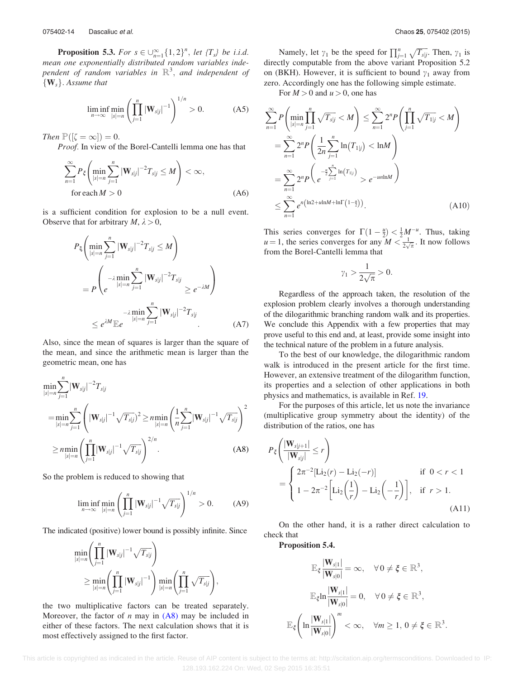**Proposition 5.3.** For  $s \in \bigcup_{n=1}^{\infty} \{1, 2\}^n$ , let  $\{T_s\}$  be i.i.d. mean one exponentially distributed random variables independent of random variables in  $\mathbb{R}^3$ , and independent of  $\{W_s\}$ . Assume that

$$
\liminf_{n \to \infty} \min_{|s|=n} \left( \prod_{j=1}^n |\mathbf{W}_{s|j}|^{-1} \right)^{1/n} > 0. \tag{A5}
$$

Then  $\mathbb{P}([\zeta = \infty]) = 0.$ 

Proof. In view of the Borel-Cantelli lemma one has that

$$
\sum_{n=1}^{\infty} P_{\xi} \left( \min_{|s|=n} \sum_{j=1}^{n} |\mathbf{W}_{s|j}|^{-2} T_{s|j} \le M \right) < \infty,
$$
  
for each  $M > 0$  (A6)

is a sufficient condition for explosion to be a null event. Observe that for arbitrary  $M$ ,  $\lambda > 0$ ,

$$
P_{\xi}\left(\min_{|s|=n}\sum_{j=1}^{n}|\mathbf{W}_{sjj}|^{-2}T_{sj} \leq M\right)
$$
  
= 
$$
P\left(e^{-\lambda}\min_{|s|=n}\sum_{j=1}^{n}|\mathbf{W}_{sjj}|^{-2}T_{sj} \geq e^{-\lambda M}\right)
$$
  

$$
\leq e^{\lambda M}\mathbb{E}e^{-\lambda M}\sum_{|s|=n}\sum_{j=1}^{n}|\mathbf{W}_{sjj}|^{-2}T_{sj}
$$
 (A7)

Also, since the mean of squares is larger than the square of the mean, and since the arithmetic mean is larger than the geometric mean, one has

$$
\min_{|s|=n} \sum_{j=1}^{n} |\mathbf{W}_{s|j}|^{-2} T_{s|j}
$$
\n
$$
= \min_{|s|=n} \sum_{j=1}^{n} \left( |\mathbf{W}_{s|j}|^{-1} \sqrt{T_{s|j}} \right)^{2} \ge n \min_{|s|=n} \left( \frac{1}{n} \sum_{j=1}^{n} |\mathbf{W}_{s|j}|^{-1} \sqrt{T_{s|j}} \right)^{2}
$$
\n
$$
\ge n \min_{|s|=n} \left( \prod_{j=1}^{n} |\mathbf{W}_{s|j}|^{-1} \sqrt{T_{s|j}} \right)^{2/n}.
$$
\n(A8)

So the problem is reduced to showing that

$$
\liminf_{n \to \infty} \min_{|s| = n} \left( \prod_{j=1}^{n} |\mathbf{W}_{s|j}|^{-1} \sqrt{T_{s|j}} \right)^{1/n} > 0. \tag{A9}
$$

The indicated (positive) lower bound is possibly infinite. Since

$$
\min_{|s|=n} \left( \prod_{j=1}^{n} |{\bf W}_{s|j}|^{-1} \sqrt{T_{s|j}} \right) \n\ge \min_{|s|=n} \left( \prod_{j=1}^{n} |{\bf W}_{s|j}|^{-1} \right) \min_{|s|=n} \left( \prod_{j=1}^{n} \sqrt{T_{s|j}} \right),
$$

the two multiplicative factors can be treated separately. Moreover, the factor of  $n$  may in  $(A8)$  may be included in either of these factors. The next calculation shows that it is most effectively assigned to the first factor.

Namely, let  $\gamma_1$  be the speed for  $\prod_{j=1}^n \sqrt{T_{sjj}}$ . Then,  $\gamma_1$  is directly computable from the above variant Proposition 5.2 on (BKH). However, it is sufficient to bound  $\gamma_1$  away from zero. Accordingly one has the following simple estimate.

For  $M > 0$  and  $u > 0$ , one has

$$
\sum_{n=1}^{\infty} P\left(\min_{|s|=n} \prod_{j=1}^{n} \sqrt{T_{s|j}} < M\right) \le \sum_{n=1}^{\infty} 2^{n} P\left(\prod_{j=1}^{n} \sqrt{T_{1|j}} < M\right)
$$
  
\n
$$
= \sum_{n=1}^{\infty} 2^{n} P\left(\frac{1}{2n} \sum_{j=1}^{n} \ln(T_{1|j}) < \ln M\right)
$$
  
\n
$$
= \sum_{n=1}^{\infty} 2^{n} P\left(e^{-\frac{u}{2} \sum_{j=1}^{n} \ln(T_{1|j})} > e^{-\text{unln} M}\right)
$$
  
\n
$$
\le \sum_{n=1}^{\infty} e^{n(\ln 2 + \text{unln} M + \ln \Gamma(1 - \frac{u}{2}))}.
$$
 (A10)

This series converges for  $\Gamma(1-\frac{u}{2}) < \frac{1}{2}M^{-u}$ . Thus, taking  $u = 1$ , the series converges for any  $M < \frac{1}{2\sqrt{\pi}}$ . It now follows from the Borel-Cantelli lemma that

$$
\gamma_1 > \frac{1}{2\sqrt{\pi}} > 0.
$$

Regardless of the approach taken, the resolution of the explosion problem clearly involves a thorough understanding of the dilogarithmic branching random walk and its properties. We conclude this Appendix with a few properties that may prove useful to this end and, at least, provide some insight into the technical nature of the problem in a future analysis.

To the best of our knowledge, the dilogarithmic random walk is introduced in the present article for the first time. However, an extensive treatment of the dilogarithm function, its properties and a selection of other applications in both physics and mathematics, is available in Ref. [19](#page-16-0).

For the purposes of this article, let us note the invariance (multiplicative group symmetry about the identity) of the distribution of the ratios, one has

$$
P_{\xi} \left( \frac{|\mathbf{W}_{s|j+1}|}{|\mathbf{W}_{s|j}|} \le r \right)
$$
  
= 
$$
\begin{cases} 2\pi^{-2} [\text{Li}_2(r) - \text{Li}_2(-r)] & \text{if } 0 < r < 1 \\ 1 - 2\pi^{-2} [\text{Li}_2\left(\frac{1}{r}\right) - \text{Li}_2\left(-\frac{1}{r}\right)] & \text{if } r > 1. \end{cases}
$$
(A11)

On the other hand, it is a rather direct calculation to check that

Proposition 5.4.

$$
\mathbb{E}_{\xi} \frac{|\mathbf{W}_{s|1}|}{|\mathbf{W}_{s|0}|} = \infty, \quad \forall 0 \neq \xi \in \mathbb{R}^{3},
$$

$$
\mathbb{E}_{\xi} \ln \frac{|\mathbf{W}_{s|1}|}{|\mathbf{W}_{s|0}|} = 0, \quad \forall 0 \neq \xi \in \mathbb{R}^{3},
$$

$$
\mathbb{E}_{\xi} \left( \ln \frac{|\mathbf{W}_{s|1}|}{|\mathbf{W}_{s|0}|} \right)^{m} < \infty, \quad \forall m \geq 1, 0 \neq \xi \in \mathbb{R}^{3}.
$$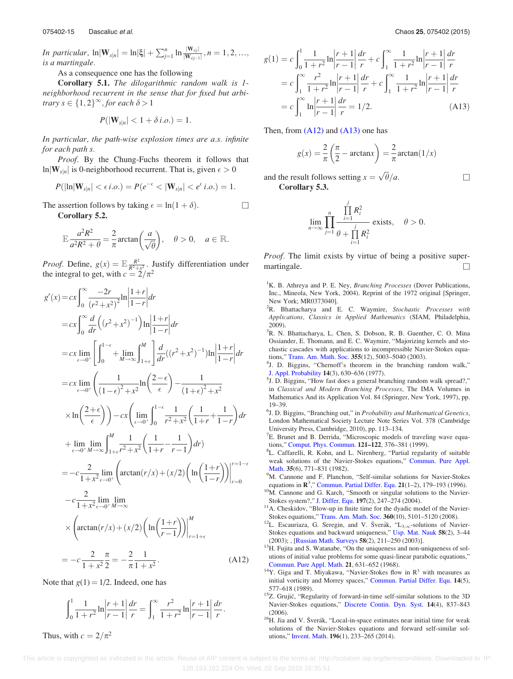<span id="page-15-0"></span>In particular,  $\ln |\mathbf{W}_{s|n}| = \ln |\xi| + \sum_{j=1}^n \ln \frac{|\mathbf{W}_{sj}|}{|\mathbf{W}_{sjj-1}|}, n = 1, 2, ...,$ is a martingale.

As a consequence one has the following

Corollary 5.1. The dilogarithmic random walk is 1neighborhood recurrent in the sense that for fixed but arbitrary  $s \in \{1, 2\}^{\infty}$ , for each  $\delta > 1$ 

$$
P(|\mathbf{W}_{s|n}| < 1 + \delta \, i.o.) = 1.
$$

In particular, the path-wise explosion times are a.s. infinite for each path s.

Proof. By the Chung-Fuchs theorem it follows that  $\ln|\mathbf{W}_{\text{sin}}|$  is 0-neighborhood recurrent. That is, given  $\epsilon > 0$ 

$$
P(|\ln|\mathbf{W}_{s|n}| < \epsilon i.o.) = P(e^{-\epsilon} < |\mathbf{W}_{s|n}| < e^{\epsilon} i.o.) = 1.
$$

The assertion follows by taking  $\epsilon = \ln(1 + \delta)$ . Corollary 5.2.

$$
\mathbb{E}\frac{a^2R^2}{a^2R^2+\theta}=\frac{2}{\pi}\arctan\bigg(\frac{a}{\sqrt{\theta}}\bigg), \quad \theta>0, \quad a\in\mathbb{R}.
$$

*Proof.* Define,  $g(x) = \mathbb{E} \frac{R^2}{R^2 + x^2}$ . Justify differentiation under the integral to get, with  $c = 2/\pi^2$ 

$$
g'(x) = cx \int_0^{\infty} \frac{-2r}{(r^2 + x^2)^2} \ln \left| \frac{1+r}{1-r} \right| dr
$$
  
\n
$$
= cx \int_0^{\infty} \frac{d}{dr} \left( (r^2 + x^2)^{-1} \right) \ln \left| \frac{1+r}{1-r} \right| dr
$$
  
\n
$$
= cx \lim_{\epsilon \to 0^+} \left[ \int_0^{1-\epsilon} + \lim_{M \to \infty} \int_{1+\epsilon}^M \left| \frac{d}{dr} ((r^2 + x^2)^{-1}) \ln \left| \frac{1+r}{1-r} \right| dr \right]
$$
  
\n
$$
= cx \lim_{\epsilon \to 0^+} \left( \frac{1}{(1-\epsilon)^2 + x^2} \ln \left( \frac{2-\epsilon}{\epsilon} \right) - \frac{1}{(1+\epsilon)^2 + x^2} \right)
$$
  
\n
$$
\times \ln \left( \frac{2+\epsilon}{\epsilon} \right) - cx \left( \lim_{\epsilon \to 0^+} \int_0^{1-\epsilon} \frac{1}{r^2 + x^2} \left( \frac{1}{1+r} + \frac{1}{1-r} \right) dr \right)
$$
  
\n
$$
+ \lim_{\epsilon \to 0^+} \lim_{M \to \infty} \int_{1+\epsilon}^M \frac{1}{r^2 + x^2} \left( \frac{1}{1+r} - \frac{1}{r-1} \right) dr
$$
  
\n
$$
= -c \frac{2}{1+x^2} \lim_{\epsilon \to 0^+} \left( \arctan(r/x) + (x/2) \left( \ln \left( \frac{1+r}{1-r} \right) \right) \right|_{r=0}^{r=1-\epsilon}
$$
  
\n
$$
-c \frac{2}{1+x^2} \lim_{\epsilon \to 0^+} \lim_{M \to \infty}
$$
  
\n
$$
\times \left( \arctan(r/x) + (x/2) \left( \ln \left( \frac{1+r}{r-1} \right) \right) \right)_{r=1+\epsilon}^M
$$
  
\n
$$
= -c \frac{2}{1+x^2} \frac{\pi}{2} = -\frac{2}{\pi} \frac{1}{1+x^2}.
$$
 (A12)

Note that  $g(1) = 1/2$ . Indeed, one has

$$
\int_0^1 \frac{1}{1+r^2} \ln \left| \frac{r+1}{r-1} \right| \frac{dr}{r} = \int_1^\infty \frac{r^2}{1+r^2} \ln \left| \frac{r+1}{r-1} \right| \frac{dr}{r}.
$$

Thus, with 
$$
c = 2/\pi^2
$$

 $\Box$ 

$$
g(1) = c \int_0^1 \frac{1}{1+r^2} \ln \left| \frac{r+1}{r-1} \right| \frac{dr}{r} + c \int_1^\infty \frac{1}{1+r^2} \ln \left| \frac{r+1}{r-1} \right| \frac{dr}{r}
$$
  
=  $c \int_1^\infty \frac{r^2}{1+r^2} \ln \left| \frac{r+1}{r-1} \right| \frac{dr}{r} + c \int_1^\infty \frac{1}{1+r^2} \ln \left| \frac{r+1}{r-1} \right| \frac{dr}{r}$   
=  $c \int_1^\infty \ln \left| \frac{r+1}{r-1} \right| \frac{dr}{r} = 1/2.$  (A13)

Then, from (A12) and (A13) one has

$$
g(x) = \frac{2}{\pi} \left( \frac{\pi}{2} - \arctan x \right) = \frac{2}{\pi} \arctan(1/x)
$$

and the result follows setting  $x = \sqrt{\theta}/a$ . Corollary 5.3.

 $\Box$ 

$$
\lim_{n \to \infty} \prod_{j=1}^{n} \frac{\prod_{i=1}^{j} R_i^2}{\theta + \prod_{i=1}^{j} R_i^2}
$$
 exists,  $\theta > 0$ .

Proof. The limit exists by virtue of being a positive supermartingale.

<sup>1</sup>K. B. Athreya and P. E. Ney, *Branching Processes* (Dover Publications, Inc., Mineola, New York, 2004). Reprint of the 1972 original [Springer, New York; MR0373040].

<sup>2</sup>R. Bhattacharya and E. C. Waymire, Stochastic Processes with Applications, Classics in Applied Mathematics (SIAM, Philadelphia, 2009).

<sup>3</sup>R. N. Bhattacharya, L. Chen, S. Dobson, R. B. Guenther, C. O. Mina Ossiander, E. Thomann, and E. C. Waymire, "Majorizing kernels and stochastic cascades with applications to incompressible Navier-Stokes equations," [Trans. Am. Math. Soc.](http://dx.doi.org/10.1090/S0002-9947-03-03246-X) <sup>355</sup>(12), 5003–5040 (2003). <sup>4</sup>

<sup>4</sup>J. D. Biggins, "Chernoff's theorem in the branching random walk," [J. Appl. Probability](http://dx.doi.org/10.2307/3213469) 14(3), 630-636 (1977).

 $5J$ . D. Biggins, "How fast does a general branching random walk spread?," in Classical and Modern Branching Processes, The IMA Volumes in Mathematics And its Application Vol. 84 (Springer, New York, 1997), pp. 19–39.

<sup>6</sup>J. D. Biggins, "Branching out," in Probability and Mathematical Genetics, London Mathematical Society Lecture Note Series Vol. 378 (Cambridge University Press, Cambridge, 2010), pp. 113–134.

<sup>7</sup>E. Brunet and B. Derrida, "Microscopic models of traveling wave equa-tions," [Comput. Phys. Commun.](http://dx.doi.org/10.1016/S0010-4655(99)00358-6) 121-122, 376-381 (1999).

<sup>8</sup>L. Caffarelli, R. Kohn, and L. Nirenberg, "Partial regularity of suitable weak solutions of the Navier-Stokes equations," [Commun. Pure Appl.](http://dx.doi.org/10.1002/cpa.3160350604) [Math.](http://dx.doi.org/10.1002/cpa.3160350604) 35(6), 771-831 (1982).

<sup>9</sup>M. Cannone and F. Planchon, "Self-similar solutions for Navier-Stokes equations in  $\mathbb{R}^3$ ," Commun. Partial Differ. Equ. 21(1-2), 179-193 (1996).

 $^{10}$ M. Cannone and G. Karch, "Smooth or singular solutions to the Navier-

- Stokes system?," [J. Differ. Equ.](http://dx.doi.org/10.1016/j.jde.2003.10.003) 197(2), 247–274 (2004).  $11$ A. Cheskidov, "Blow-up in finite time for the dyadic model of the Navier-
- Stokes equations," [Trans. Am. Math. Soc.](http://dx.doi.org/10.1090/S0002-9947-08-04494-2) 360(10), 5101–5120 (2008). <sup>12</sup>L. Escauriaza, G. Seregin, and V. Šverák, "L<sub>3, $\infty$ </sub>-solutions of Navier-Stokes equations and backward uniqueness," [Usp. Mat. Nauk](http://dx.doi.org/10.4213/rm609) 58(2), 3–44
- (2003); , [\[Russian Math. Surveys](http://dx.doi.org/10.1070/RM2003v058n02ABEH000609)  $58(2)$ , 211–250 (2003)]. <sup>13</sup>H. Fujita and S. Watanabe, "On the uniqueness and non-uniqueness of solutions of initial value problems for some quasi-linear parabolic equations,"
- [Commun. Pure Appl. Math.](http://dx.doi.org/10.1002/cpa.3160210609) 21, 631–652 (1968). <sup>14</sup>Y. Giga and T. Miyakawa, "Navier-Stokes flow in R<sup>3</sup> with measures as initial vorticity and Morrey spaces," [Commun. Partial Differ. Equ.](http://dx.doi.org/10.1080/03605308908820621) 14(5), 577–618 (1989).<br> $15Z$ . Grujić, "Regularity of forward-in-time self-similar solutions to the 3D
- Navier-Stokes equations," [Discrete Contin. Dyn. Syst.](http://dx.doi.org/10.3934/dcds.2006.14.837) 14(4), 837–843
- $(2006)$ .<br><sup>16</sup>H. Jia and V. Šverák, "Local-in-space estimates near initial time for weak solutions of the Navier-Stokes equations and forward self-similar solutions," [Invent. Math.](http://dx.doi.org/10.1007/s00222-013-0468-x) 196(1), 233–265 (2014).